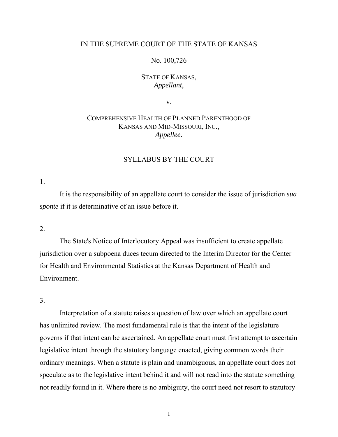# IN THE SUPREME COURT OF THE STATE OF KANSAS

# No. 100,726

# STATE OF KANSAS, *Appellant*,

v.

# COMPREHENSIVE HEALTH OF PLANNED PARENTHOOD OF KANSAS AND MID-MISSOURI, INC., *Appellee*.

# SYLLABUS BY THE COURT

1.

 It is the responsibility of an appellate court to consider the issue of jurisdiction *sua sponte* if it is determinative of an issue before it.

2.

 The State's Notice of Interlocutory Appeal was insufficient to create appellate jurisdiction over a subpoena duces tecum directed to the Interim Director for the Center for Health and Environmental Statistics at the Kansas Department of Health and Environment.

3.

 Interpretation of a statute raises a question of law over which an appellate court has unlimited review. The most fundamental rule is that the intent of the legislature governs if that intent can be ascertained. An appellate court must first attempt to ascertain legislative intent through the statutory language enacted, giving common words their ordinary meanings. When a statute is plain and unambiguous, an appellate court does not speculate as to the legislative intent behind it and will not read into the statute something not readily found in it. Where there is no ambiguity, the court need not resort to statutory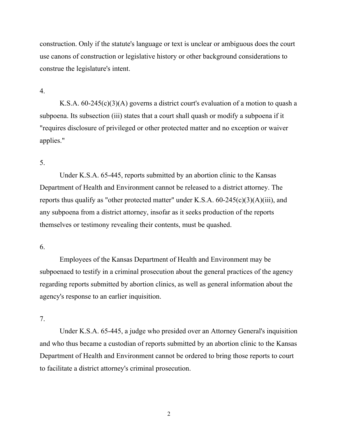construction. Only if the statute's language or text is unclear or ambiguous does the court use canons of construction or legislative history or other background considerations to construe the legislature's intent.

4.

 K.S.A. 60-245(c)(3)(A) governs a district court's evaluation of a motion to quash a subpoena. Its subsection (iii) states that a court shall quash or modify a subpoena if it "requires disclosure of privileged or other protected matter and no exception or waiver applies."

# 5.

 Under K.S.A. 65-445, reports submitted by an abortion clinic to the Kansas Department of Health and Environment cannot be released to a district attorney. The reports thus qualify as "other protected matter" under K.S.A.  $60-245(c)(3)(A)(iii)$ , and any subpoena from a district attorney, insofar as it seeks production of the reports themselves or testimony revealing their contents, must be quashed.

#### 6.

 Employees of the Kansas Department of Health and Environment may be subpoenaed to testify in a criminal prosecution about the general practices of the agency regarding reports submitted by abortion clinics, as well as general information about the agency's response to an earlier inquisition.

7.

 Under K.S.A. 65-445, a judge who presided over an Attorney General's inquisition and who thus became a custodian of reports submitted by an abortion clinic to the Kansas Department of Health and Environment cannot be ordered to bring those reports to court to facilitate a district attorney's criminal prosecution.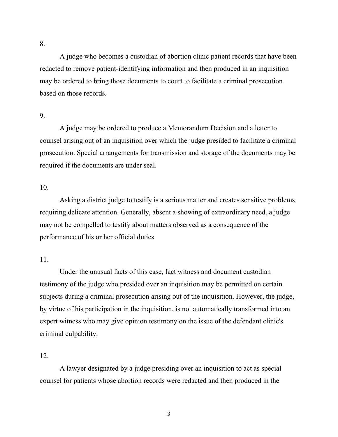A judge who becomes a custodian of abortion clinic patient records that have been redacted to remove patient-identifying information and then produced in an inquisition may be ordered to bring those documents to court to facilitate a criminal prosecution

9.

based on those records.

 A judge may be ordered to produce a Memorandum Decision and a letter to counsel arising out of an inquisition over which the judge presided to facilitate a criminal prosecution. Special arrangements for transmission and storage of the documents may be required if the documents are under seal.

10.

 Asking a district judge to testify is a serious matter and creates sensitive problems requiring delicate attention. Generally, absent a showing of extraordinary need, a judge may not be compelled to testify about matters observed as a consequence of the performance of his or her official duties.

11.

 Under the unusual facts of this case, fact witness and document custodian testimony of the judge who presided over an inquisition may be permitted on certain subjects during a criminal prosecution arising out of the inquisition. However, the judge, by virtue of his participation in the inquisition, is not automatically transformed into an expert witness who may give opinion testimony on the issue of the defendant clinic's criminal culpability.

12.

 A lawyer designated by a judge presiding over an inquisition to act as special counsel for patients whose abortion records were redacted and then produced in the

8.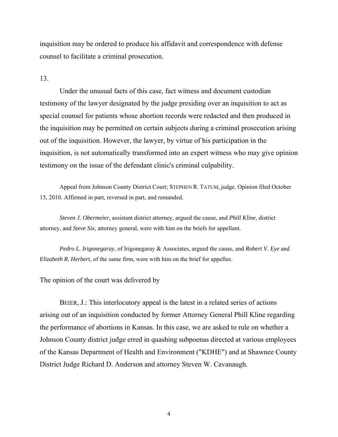inquisition may be ordered to produce his affidavit and correspondence with defense counsel to facilitate a criminal prosecution.

## 13.

 Under the unusual facts of this case, fact witness and document custodian testimony of the lawyer designated by the judge presiding over an inquisition to act as special counsel for patients whose abortion records were redacted and then produced in the inquisition may be permitted on certain subjects during a criminal prosecution arising out of the inquisition. However, the lawyer, by virtue of his participation in the inquisition, is not automatically transformed into an expert witness who may give opinion testimony on the issue of the defendant clinic's criminal culpability.

 Appeal from Johnson County District Court; STEPHEN R. TATUM, judge. Opinion filed October 15, 2010. Affirmed in part, reversed in part, and remanded.

*Steven J. Obermeier*, assistant district attorney, argued the cause, and *Phill Kline*, district attorney, and *Steve Six*, attorney general, were with him on the briefs for appellant.

*Pedro L. Irigonegaray*, of Irigonegaray & Associates, argued the cause, and *Robert V. Eye* and *Elizabeth R. Herbert*, of the same firm, were with him on the brief for appellee.

The opinion of the court was delivered by

 BEIER, J.: This interlocutory appeal is the latest in a related series of actions arising out of an inquisition conducted by former Attorney General Phill Kline regarding the performance of abortions in Kansas. In this case, we are asked to rule on whether a Johnson County district judge erred in quashing subpoenas directed at various employees of the Kansas Department of Health and Environment ("KDHE") and at Shawnee County District Judge Richard D. Anderson and attorney Steven W. Cavanaugh.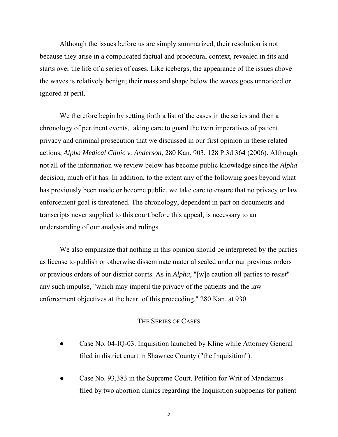Although the issues before us are simply summarized, their resolution is not because they arise in a complicated factual and procedural context, revealed in fits and starts over the life of a series of cases. Like icebergs, the appearance of the issues above the waves is relatively benign; their mass and shape below the waves goes unnoticed or ignored at peril.

We therefore begin by setting forth a list of the cases in the series and then a chronology of pertinent events, taking care to guard the twin imperatives of patient privacy and criminal prosecution that we discussed in our first opinion in these related actions, *Alpha Medical Clinic v. Anderson*, 280 Kan. 903, 128 P.3d 364 (2006). Although not all of the information we review below has become public knowledge since the *Alpha* decision, much of it has. In addition, to the extent any of the following goes beyond what has previously been made or become public, we take care to ensure that no privacy or law enforcement goal is threatened. The chronology, dependent in part on documents and transcripts never supplied to this court before this appeal, is necessary to an understanding of our analysis and rulings.

We also emphasize that nothing in this opinion should be interpreted by the parties as license to publish or otherwise disseminate material sealed under our previous orders or previous orders of our district courts. As in *Alpha*, "[w]e caution all parties to resist" any such impulse, "which may imperil the privacy of the patients and the law enforcement objectives at the heart of this proceeding." 280 Kan. at 930.

# THE SERIES OF CASES

- Case No. 04-IQ-03. Inquisition launched by Kline while Attorney General filed in district court in Shawnee County ("the Inquisition").
- Case No. 93,383 in the Supreme Court. Petition for Writ of Mandamus filed by two abortion clinics regarding the Inquisition subpoenas for patient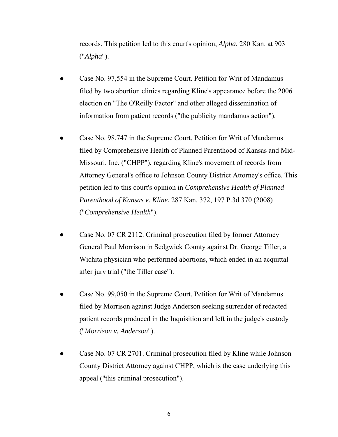records. This petition led to this court's opinion, *Alpha*, 280 Kan. at 903 ("*Alpha*").

- Case No. 97,554 in the Supreme Court. Petition for Writ of Mandamus filed by two abortion clinics regarding Kline's appearance before the 2006 election on "The O'Reilly Factor" and other alleged dissemination of information from patient records ("the publicity mandamus action").
- Case No. 98,747 in the Supreme Court. Petition for Writ of Mandamus filed by Comprehensive Health of Planned Parenthood of Kansas and Mid- Missouri, Inc. ("CHPP"), regarding Kline's movement of records from Attorney General's office to Johnson County District Attorney's office. This petition led to this court's opinion in *Comprehensive Health of Planned Parenthood of Kansas v. Kline*, 287 Kan. 372, 197 P.3d 370 (2008) ("*Comprehensive Health*").
- Case No. 07 CR 2112. Criminal prosecution filed by former Attorney General Paul Morrison in Sedgwick County against Dr. George Tiller, a Wichita physician who performed abortions, which ended in an acquittal after jury trial ("the Tiller case").
- Case No. 99,050 in the Supreme Court. Petition for Writ of Mandamus filed by Morrison against Judge Anderson seeking surrender of redacted patient records produced in the Inquisition and left in the judge's custody ("*Morrison v. Anderson*").
- Case No. 07 CR 2701. Criminal prosecution filed by Kline while Johnson County District Attorney against CHPP, which is the case underlying this appeal ("this criminal prosecution").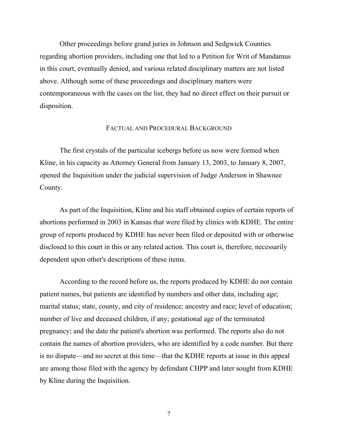Other proceedings before grand juries in Johnson and Sedgwick Counties regarding abortion providers, including one that led to a Petition for Writ of Mandamus in this court, eventually denied, and various related disciplinary matters are not listed above. Although some of these proceedings and disciplinary matters were contemporaneous with the cases on the list, they had no direct effect on their pursuit or disposition.

#### FACTUAL AND PROCEDURAL BACKGROUND

The first crystals of the particular icebergs before us now were formed when Kline, in his capacity as Attorney General from January 13, 2003, to January 8, 2007, opened the Inquisition under the judicial supervision of Judge Anderson in Shawnee County.

As part of the Inquisition, Kline and his staff obtained copies of certain reports of abortions performed in 2003 in Kansas that were filed by clinics with KDHE. The entire group of reports produced by KDHE has never been filed or deposited with or otherwise disclosed to this court in this or any related action. This court is, therefore, necessarily dependent upon other's descriptions of these items.

According to the record before us, the reports produced by KDHE do not contain patient names, but patients are identified by numbers and other data, including age; marital status; state, county, and city of residence; ancestry and race; level of education; number of live and deceased children, if any; gestational age of the terminated pregnancy; and the date the patient's abortion was performed. The reports also do not contain the names of abortion providers, who are identified by a code number. But there is no dispute—and no secret at this time—that the KDHE reports at issue in this appeal are among those filed with the agency by defendant CHPP and later sought from KDHE by Kline during the Inquisition.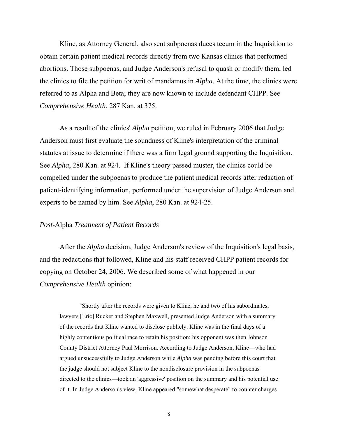Kline, as Attorney General, also sent subpoenas duces tecum in the Inquisition to obtain certain patient medical records directly from two Kansas clinics that performed abortions. Those subpoenas, and Judge Anderson's refusal to quash or modify them, led the clinics to file the petition for writ of mandamus in *Alpha*. At the time, the clinics were referred to as Alpha and Beta; they are now known to include defendant CHPP. See *Comprehensive Health*, 287 Kan. at 375.

 As a result of the clinics' *Alpha* petition, we ruled in February 2006 that Judge Anderson must first evaluate the soundness of Kline's interpretation of the criminal statutes at issue to determine if there was a firm legal ground supporting the Inquisition. See *Alpha*, 280 Kan. at 924. If Kline's theory passed muster, the clinics could be compelled under the subpoenas to produce the patient medical records after redaction of patient-identifying information, performed under the supervision of Judge Anderson and experts to be named by him. See *Alpha*, 280 Kan. at 924-25.

### *Post*-Alpha *Treatment of Patient Records*

After the *Alpha* decision, Judge Anderson's review of the Inquisition's legal basis, and the redactions that followed, Kline and his staff received CHPP patient records for copying on October 24, 2006. We described some of what happened in our *Comprehensive Health* opinion:

 "Shortly after the records were given to Kline, he and two of his subordinates, lawyers [Eric] Rucker and Stephen Maxwell, presented Judge Anderson with a summary of the records that Kline wanted to disclose publicly. Kline was in the final days of a highly contentious political race to retain his position; his opponent was then Johnson County District Attorney Paul Morrison. According to Judge Anderson, Kline—who had argued unsuccessfully to Judge Anderson while *Alpha* was pending before this court that the judge should not subject Kline to the nondisclosure provision in the subpoenas directed to the clinics—took an 'aggressive' position on the summary and his potential use of it. In Judge Anderson's view, Kline appeared "somewhat desperate" to counter charges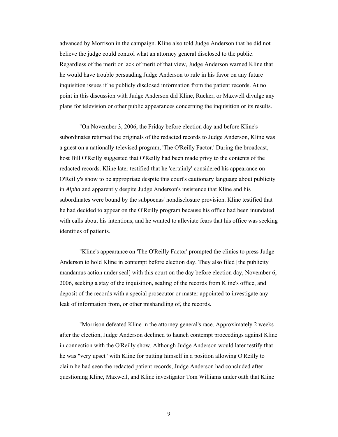advanced by Morrison in the campaign. Kline also told Judge Anderson that he did not believe the judge could control what an attorney general disclosed to the public. Regardless of the merit or lack of merit of that view, Judge Anderson warned Kline that he would have trouble persuading Judge Anderson to rule in his favor on any future inquisition issues if he publicly disclosed information from the patient records. At no point in this discussion with Judge Anderson did Kline, Rucker, or Maxwell divulge any plans for television or other public appearances concerning the inquisition or its results.

 "On November 3, 2006, the Friday before election day and before Kline's subordinates returned the originals of the redacted records to Judge Anderson, Kline was a guest on a nationally televised program, 'The O'Reilly Factor.' During the broadcast, host Bill O'Reilly suggested that O'Reilly had been made privy to the contents of the redacted records. Kline later testified that he 'certainly' considered his appearance on O'Reilly's show to be appropriate despite this court's cautionary language about publicity in *Alpha* and apparently despite Judge Anderson's insistence that Kline and his subordinates were bound by the subpoenas' nondisclosure provision. Kline testified that he had decided to appear on the O'Reilly program because his office had been inundated with calls about his intentions, and he wanted to alleviate fears that his office was seeking identities of patients.

 "Kline's appearance on 'The O'Reilly Factor' prompted the clinics to press Judge Anderson to hold Kline in contempt before election day. They also filed [the publicity mandamus action under seal] with this court on the day before election day, November 6, 2006, seeking a stay of the inquisition, sealing of the records from Kline's office, and deposit of the records with a special prosecutor or master appointed to investigate any leak of information from, or other mishandling of, the records.

 "Morrison defeated Kline in the attorney general's race. Approximately 2 weeks after the election, Judge Anderson declined to launch contempt proceedings against Kline in connection with the O'Reilly show. Although Judge Anderson would later testify that he was "very upset" with Kline for putting himself in a position allowing O'Reilly to claim he had seen the redacted patient records, Judge Anderson had concluded after questioning Kline, Maxwell, and Kline investigator Tom Williams under oath that Kline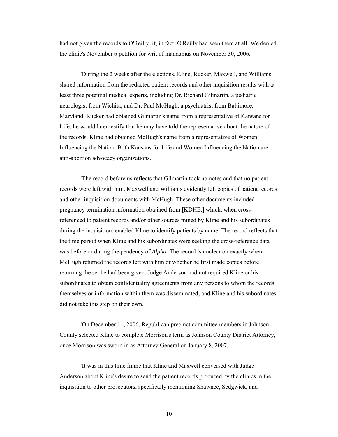had not given the records to O'Reilly, if, in fact, O'Reilly had seen them at all. We denied the clinic's November 6 petition for writ of mandamus on November 30, 2006.

 "During the 2 weeks after the elections, Kline, Rucker, Maxwell, and Williams shared information from the redacted patient records and other inquisition results with at least three potential medical experts, including Dr. Richard Gilmartin, a pediatric neurologist from Wichita, and Dr. Paul McHugh, a psychiatrist from Baltimore, Maryland. Rucker had obtained Gilmartin's name from a representative of Kansans for Life; he would later testify that he may have told the representative about the nature of the records. Kline had obtained McHugh's name from a representative of Women Influencing the Nation. Both Kansans for Life and Women Influencing the Nation are anti-abortion advocacy organizations.

 "The record before us reflects that Gilmartin took no notes and that no patient records were left with him. Maxwell and Williams evidently left copies of patient records and other inquisition documents with McHugh. These other documents included pregnancy termination information obtained from [KDHE,] which, when crossreferenced to patient records and/or other sources mined by Kline and his subordinates during the inquisition, enabled Kline to identify patients by name. The record reflects that the time period when Kline and his subordinates were seeking the cross-reference data was before or during the pendency of *Alpha*. The record is unclear on exactly when McHugh returned the records left with him or whether he first made copies before returning the set he had been given. Judge Anderson had not required Kline or his subordinates to obtain confidentiality agreements from any persons to whom the records themselves or information within them was disseminated; and Kline and his subordinates did not take this step on their own.

 "On December 11, 2006, Republican precinct committee members in Johnson County selected Kline to complete Morrison's term as Johnson County District Attorney, once Morrison was sworn in as Attorney General on January 8, 2007.

 "It was in this time frame that Kline and Maxwell conversed with Judge Anderson about Kline's desire to send the patient records produced by the clinics in the inquisition to other prosecutors, specifically mentioning Shawnee, Sedgwick, and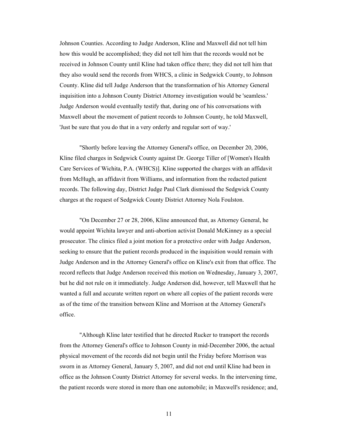Johnson Counties. According to Judge Anderson, Kline and Maxwell did not tell him how this would be accomplished; they did not tell him that the records would not be received in Johnson County until Kline had taken office there; they did not tell him that they also would send the records from WHCS, a clinic in Sedgwick County, to Johnson County. Kline did tell Judge Anderson that the transformation of his Attorney General inquisition into a Johnson County District Attorney investigation would be 'seamless.' Judge Anderson would eventually testify that, during one of his conversations with Maxwell about the movement of patient records to Johnson County, he told Maxwell, 'Just be sure that you do that in a very orderly and regular sort of way.'

 "Shortly before leaving the Attorney General's office, on December 20, 2006, Kline filed charges in Sedgwick County against Dr. George Tiller of [Women's Health Care Services of Wichita, P.A. (WHCS)]. Kline supported the charges with an affidavit from McHugh, an affidavit from Williams, and information from the redacted patient records. The following day, District Judge Paul Clark dismissed the Sedgwick County charges at the request of Sedgwick County District Attorney Nola Foulston.

 "On December 27 or 28, 2006, Kline announced that, as Attorney General, he would appoint Wichita lawyer and anti-abortion activist Donald McKinney as a special prosecutor. The clinics filed a joint motion for a protective order with Judge Anderson, seeking to ensure that the patient records produced in the inquisition would remain with Judge Anderson and in the Attorney General's office on Kline's exit from that office. The record reflects that Judge Anderson received this motion on Wednesday, January 3, 2007, but he did not rule on it immediately. Judge Anderson did, however, tell Maxwell that he wanted a full and accurate written report on where all copies of the patient records were as of the time of the transition between Kline and Morrison at the Attorney General's office.

 "Although Kline later testified that he directed Rucker to transport the records from the Attorney General's office to Johnson County in mid-December 2006, the actual physical movement of the records did not begin until the Friday before Morrison was sworn in as Attorney General, January 5, 2007, and did not end until Kline had been in office as the Johnson County District Attorney for several weeks. In the intervening time, the patient records were stored in more than one automobile; in Maxwell's residence; and,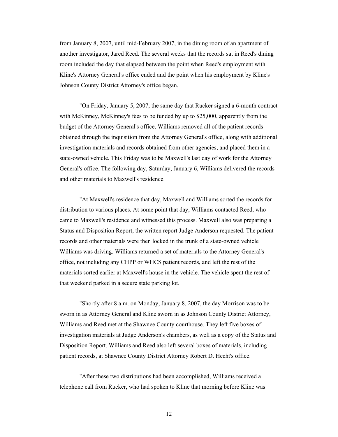from January 8, 2007, until mid-February 2007, in the dining room of an apartment of another investigator, Jared Reed. The several weeks that the records sat in Reed's dining room included the day that elapsed between the point when Reed's employment with Kline's Attorney General's office ended and the point when his employment by Kline's Johnson County District Attorney's office began.

 "On Friday, January 5, 2007, the same day that Rucker signed a 6-month contract with McKinney, McKinney's fees to be funded by up to \$25,000, apparently from the budget of the Attorney General's office, Williams removed all of the patient records obtained through the inquisition from the Attorney General's office, along with additional investigation materials and records obtained from other agencies, and placed them in a state-owned vehicle. This Friday was to be Maxwell's last day of work for the Attorney General's office. The following day, Saturday, January 6, Williams delivered the records and other materials to Maxwell's residence.

 "At Maxwell's residence that day, Maxwell and Williams sorted the records for distribution to various places. At some point that day, Williams contacted Reed, who came to Maxwell's residence and witnessed this process. Maxwell also was preparing a Status and Disposition Report, the written report Judge Anderson requested. The patient records and other materials were then locked in the trunk of a state-owned vehicle Williams was driving. Williams returned a set of materials to the Attorney General's office, not including any CHPP or WHCS patient records, and left the rest of the materials sorted earlier at Maxwell's house in the vehicle. The vehicle spent the rest of that weekend parked in a secure state parking lot.

 "Shortly after 8 a.m. on Monday, January 8, 2007, the day Morrison was to be sworn in as Attorney General and Kline sworn in as Johnson County District Attorney, Williams and Reed met at the Shawnee County courthouse. They left five boxes of investigation materials at Judge Anderson's chambers, as well as a copy of the Status and Disposition Report. Williams and Reed also left several boxes of materials, including patient records, at Shawnee County District Attorney Robert D. Hecht's office.

 "After these two distributions had been accomplished, Williams received a telephone call from Rucker, who had spoken to Kline that morning before Kline was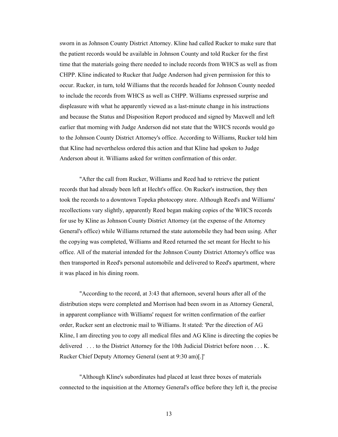sworn in as Johnson County District Attorney. Kline had called Rucker to make sure that the patient records would be available in Johnson County and told Rucker for the first time that the materials going there needed to include records from WHCS as well as from CHPP. Kline indicated to Rucker that Judge Anderson had given permission for this to occur. Rucker, in turn, told Williams that the records headed for Johnson County needed to include the records from WHCS as well as CHPP. Williams expressed surprise and displeasure with what he apparently viewed as a last-minute change in his instructions and because the Status and Disposition Report produced and signed by Maxwell and left earlier that morning with Judge Anderson did not state that the WHCS records would go to the Johnson County District Attorney's office. According to Williams, Rucker told him that Kline had nevertheless ordered this action and that Kline had spoken to Judge Anderson about it. Williams asked for written confirmation of this order.

 "After the call from Rucker, Williams and Reed had to retrieve the patient records that had already been left at Hecht's office. On Rucker's instruction, they then took the records to a downtown Topeka photocopy store. Although Reed's and Williams' recollections vary slightly, apparently Reed began making copies of the WHCS records for use by Kline as Johnson County District Attorney (at the expense of the Attorney General's office) while Williams returned the state automobile they had been using. After the copying was completed, Williams and Reed returned the set meant for Hecht to his office. All of the material intended for the Johnson County District Attorney's office was then transported in Reed's personal automobile and delivered to Reed's apartment, where it was placed in his dining room.

 "According to the record, at 3:43 that afternoon, several hours after all of the distribution steps were completed and Morrison had been sworn in as Attorney General, in apparent compliance with Williams' request for written confirmation of the earlier order, Rucker sent an electronic mail to Williams. It stated: 'Per the direction of AG Kline, I am directing you to copy all medical files and AG Kline is directing the copies be delivered . . . to the District Attorney for the 10th Judicial District before noon . . . K. Rucker Chief Deputy Attorney General (sent at 9:30 am)[.]'

 "Although Kline's subordinates had placed at least three boxes of materials connected to the inquisition at the Attorney General's office before they left it, the precise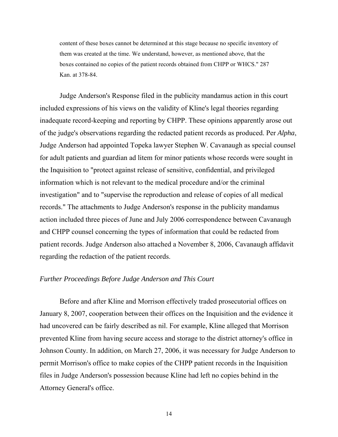content of these boxes cannot be determined at this stage because no specific inventory of them was created at the time. We understand, however, as mentioned above, that the boxes contained no copies of the patient records obtained from CHPP or WHCS." 287 Kan. at 378-84.

Judge Anderson's Response filed in the publicity mandamus action in this court included expressions of his views on the validity of Kline's legal theories regarding inadequate record-keeping and reporting by CHPP. These opinions apparently arose out of the judge's observations regarding the redacted patient records as produced. Per *Alpha*, Judge Anderson had appointed Topeka lawyer Stephen W. Cavanaugh as special counsel for adult patients and guardian ad litem for minor patients whose records were sought in the Inquisition to "protect against release of sensitive, confidential, and privileged information which is not relevant to the medical procedure and/or the criminal investigation" and to "supervise the reproduction and release of copies of all medical records." The attachments to Judge Anderson's response in the publicity mandamus action included three pieces of June and July 2006 correspondence between Cavanaugh and CHPP counsel concerning the types of information that could be redacted from patient records. Judge Anderson also attached a November 8, 2006, Cavanaugh affidavit regarding the redaction of the patient records.

# *Further Proceedings Before Judge Anderson and This Court*

Before and after Kline and Morrison effectively traded prosecutorial offices on January 8, 2007, cooperation between their offices on the Inquisition and the evidence it had uncovered can be fairly described as nil. For example, Kline alleged that Morrison prevented Kline from having secure access and storage to the district attorney's office in Johnson County. In addition, on March 27, 2006, it was necessary for Judge Anderson to permit Morrison's office to make copies of the CHPP patient records in the Inquisition files in Judge Anderson's possession because Kline had left no copies behind in the Attorney General's office.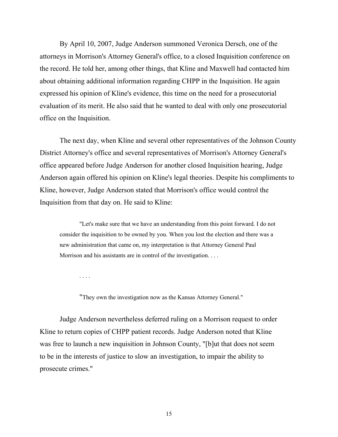By April 10, 2007, Judge Anderson summoned Veronica Dersch, one of the attorneys in Morrison's Attorney General's office, to a closed Inquisition conference on the record. He told her, among other things, that Kline and Maxwell had contacted him about obtaining additional information regarding CHPP in the Inquisition. He again expressed his opinion of Kline's evidence, this time on the need for a prosecutorial evaluation of its merit. He also said that he wanted to deal with only one prosecutorial office on the Inquisition.

The next day, when Kline and several other representatives of the Johnson County District Attorney's office and several representatives of Morrison's Attorney General's office appeared before Judge Anderson for another closed Inquisition hearing, Judge Anderson again offered his opinion on Kline's legal theories. Despite his compliments to Kline, however, Judge Anderson stated that Morrison's office would control the Inquisition from that day on. He said to Kline:

 "Let's make sure that we have an understanding from this point forward. I do not consider the inquisition to be owned by you. When you lost the election and there was a new administration that came on, my interpretation is that Attorney General Paul Morrison and his assistants are in control of the investigation. . . .

. . . .

"They own the investigation now as the Kansas Attorney General."

 Judge Anderson nevertheless deferred ruling on a Morrison request to order Kline to return copies of CHPP patient records. Judge Anderson noted that Kline was free to launch a new inquisition in Johnson County, "[b]ut that does not seem to be in the interests of justice to slow an investigation, to impair the ability to prosecute crimes."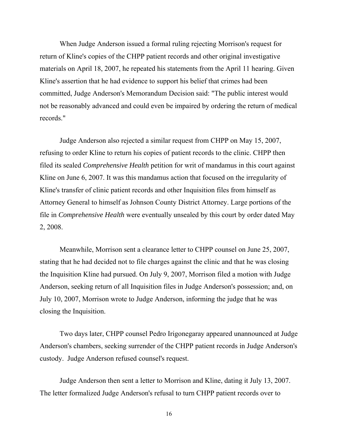When Judge Anderson issued a formal ruling rejecting Morrison's request for return of Kline's copies of the CHPP patient records and other original investigative materials on April 18, 2007, he repeated his statements from the April 11 hearing. Given Kline's assertion that he had evidence to support his belief that crimes had been committed, Judge Anderson's Memorandum Decision said: "The public interest would not be reasonably advanced and could even be impaired by ordering the return of medical records."

Judge Anderson also rejected a similar request from CHPP on May 15, 2007, refusing to order Kline to return his copies of patient records to the clinic. CHPP then filed its sealed *Comprehensive Health* petition for writ of mandamus in this court against Kline on June 6, 2007. It was this mandamus action that focused on the irregularity of Kline's transfer of clinic patient records and other Inquisition files from himself as Attorney General to himself as Johnson County District Attorney. Large portions of the file in *Comprehensive Health* were eventually unsealed by this court by order dated May 2, 2008.

Meanwhile, Morrison sent a clearance letter to CHPP counsel on June 25, 2007, stating that he had decided not to file charges against the clinic and that he was closing the Inquisition Kline had pursued. On July 9, 2007, Morrison filed a motion with Judge Anderson, seeking return of all Inquisition files in Judge Anderson's possession; and, on July 10, 2007, Morrison wrote to Judge Anderson, informing the judge that he was closing the Inquisition.

Two days later, CHPP counsel Pedro Irigonegaray appeared unannounced at Judge Anderson's chambers, seeking surrender of the CHPP patient records in Judge Anderson's custody. Judge Anderson refused counsel's request.

Judge Anderson then sent a letter to Morrison and Kline, dating it July 13, 2007. The letter formalized Judge Anderson's refusal to turn CHPP patient records over to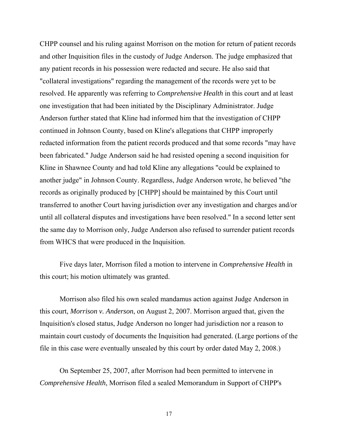CHPP counsel and his ruling against Morrison on the motion for return of patient records and other Inquisition files in the custody of Judge Anderson. The judge emphasized that any patient records in his possession were redacted and secure. He also said that "collateral investigations" regarding the management of the records were yet to be resolved. He apparently was referring to *Comprehensive Health* in this court and at least one investigation that had been initiated by the Disciplinary Administrator. Judge Anderson further stated that Kline had informed him that the investigation of CHPP continued in Johnson County, based on Kline's allegations that CHPP improperly redacted information from the patient records produced and that some records "may have been fabricated." Judge Anderson said he had resisted opening a second inquisition for Kline in Shawnee County and had told Kline any allegations "could be explained to another judge" in Johnson County. Regardless, Judge Anderson wrote, he believed "the records as originally produced by [CHPP] should be maintained by this Court until transferred to another Court having jurisdiction over any investigation and charges and/or until all collateral disputes and investigations have been resolved." In a second letter sent the same day to Morrison only, Judge Anderson also refused to surrender patient records from WHCS that were produced in the Inquisition.

Five days later, Morrison filed a motion to intervene in *Comprehensive Health* in this court; his motion ultimately was granted.

Morrison also filed his own sealed mandamus action against Judge Anderson in this court, *Morrison v. Anderson*, on August 2, 2007. Morrison argued that, given the Inquisition's closed status, Judge Anderson no longer had jurisdiction nor a reason to maintain court custody of documents the Inquisition had generated. (Large portions of the file in this case were eventually unsealed by this court by order dated May 2, 2008.)

On September 25, 2007, after Morrison had been permitted to intervene in *Comprehensive Health*, Morrison filed a sealed Memorandum in Support of CHPP's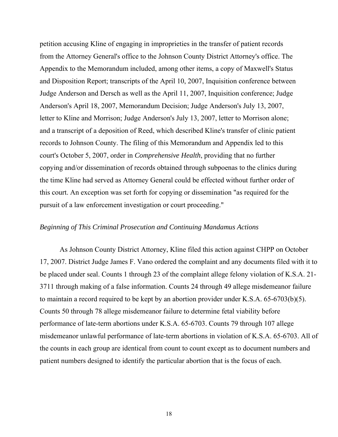petition accusing Kline of engaging in improprieties in the transfer of patient records from the Attorney General's office to the Johnson County District Attorney's office. The Appendix to the Memorandum included, among other items, a copy of Maxwell's Status and Disposition Report; transcripts of the April 10, 2007, Inquisition conference between Judge Anderson and Dersch as well as the April 11, 2007, Inquisition conference; Judge Anderson's April 18, 2007, Memorandum Decision; Judge Anderson's July 13, 2007, letter to Kline and Morrison; Judge Anderson's July 13, 2007, letter to Morrison alone; and a transcript of a deposition of Reed, which described Kline's transfer of clinic patient records to Johnson County. The filing of this Memorandum and Appendix led to this court's October 5, 2007, order in *Comprehensive Health*, providing that no further copying and/or dissemination of records obtained through subpoenas to the clinics during the time Kline had served as Attorney General could be effected without further order of this court. An exception was set forth for copying or dissemination "as required for the pursuit of a law enforcement investigation or court proceeding."

# *Beginning of This Criminal Prosecution and Continuing Mandamus Actions*

As Johnson County District Attorney, Kline filed this action against CHPP on October 17, 2007. District Judge James F. Vano ordered the complaint and any documents filed with it to be placed under seal. Counts 1 through 23 of the complaint allege felony violation of K.S.A. 21- 3711 through making of a false information. Counts 24 through 49 allege misdemeanor failure to maintain a record required to be kept by an abortion provider under K.S.A. 65-6703(b)(5). Counts 50 through 78 allege misdemeanor failure to determine fetal viability before performance of late-term abortions under K.S.A. 65-6703. Counts 79 through 107 allege misdemeanor unlawful performance of late-term abortions in violation of K.S.A. 65-6703. All of the counts in each group are identical from count to count except as to document numbers and patient numbers designed to identify the particular abortion that is the focus of each.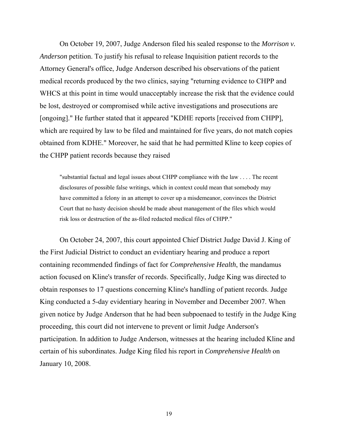On October 19, 2007, Judge Anderson filed his sealed response to the *Morrison v. Anderson* petition. To justify his refusal to release Inquisition patient records to the Attorney General's office, Judge Anderson described his observations of the patient medical records produced by the two clinics, saying "returning evidence to CHPP and WHCS at this point in time would unacceptably increase the risk that the evidence could be lost, destroyed or compromised while active investigations and prosecutions are [ongoing]." He further stated that it appeared "KDHE reports [received from CHPP], which are required by law to be filed and maintained for five years, do not match copies obtained from KDHE." Moreover, he said that he had permitted Kline to keep copies of the CHPP patient records because they raised

"substantial factual and legal issues about CHPP compliance with the law . . . . The recent disclosures of possible false writings, which in context could mean that somebody may have committed a felony in an attempt to cover up a misdemeanor, convinces the District Court that no hasty decision should be made about management of the files which would risk loss or destruction of the as-filed redacted medical files of CHPP."

On October 24, 2007, this court appointed Chief District Judge David J. King of the First Judicial District to conduct an evidentiary hearing and produce a report containing recommended findings of fact for *Comprehensive Health*, the mandamus action focused on Kline's transfer of records. Specifically, Judge King was directed to obtain responses to 17 questions concerning Kline's handling of patient records. Judge King conducted a 5-day evidentiary hearing in November and December 2007. When given notice by Judge Anderson that he had been subpoenaed to testify in the Judge King proceeding, this court did not intervene to prevent or limit Judge Anderson's participation. In addition to Judge Anderson, witnesses at the hearing included Kline and certain of his subordinates. Judge King filed his report in *Comprehensive Health* on January 10, 2008.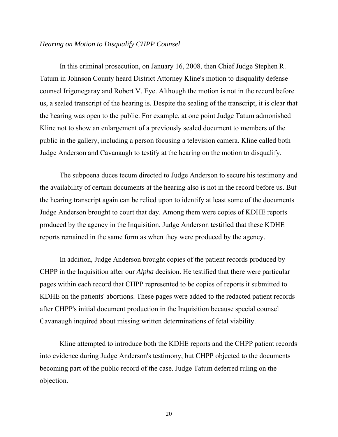# *Hearing on Motion to Disqualify CHPP Counsel*

In this criminal prosecution, on January 16, 2008, then Chief Judge Stephen R. Tatum in Johnson County heard District Attorney Kline's motion to disqualify defense counsel Irigonegaray and Robert V. Eye. Although the motion is not in the record before us, a sealed transcript of the hearing is. Despite the sealing of the transcript, it is clear that the hearing was open to the public. For example, at one point Judge Tatum admonished Kline not to show an enlargement of a previously sealed document to members of the public in the gallery, including a person focusing a television camera. Kline called both Judge Anderson and Cavanaugh to testify at the hearing on the motion to disqualify.

The subpoena duces tecum directed to Judge Anderson to secure his testimony and the availability of certain documents at the hearing also is not in the record before us. But the hearing transcript again can be relied upon to identify at least some of the documents Judge Anderson brought to court that day. Among them were copies of KDHE reports produced by the agency in the Inquisition. Judge Anderson testified that these KDHE reports remained in the same form as when they were produced by the agency.

In addition, Judge Anderson brought copies of the patient records produced by CHPP in the Inquisition after our *Alpha* decision. He testified that there were particular pages within each record that CHPP represented to be copies of reports it submitted to KDHE on the patients' abortions. These pages were added to the redacted patient records after CHPP's initial document production in the Inquisition because special counsel Cavanaugh inquired about missing written determinations of fetal viability.

Kline attempted to introduce both the KDHE reports and the CHPP patient records into evidence during Judge Anderson's testimony, but CHPP objected to the documents becoming part of the public record of the case. Judge Tatum deferred ruling on the objection.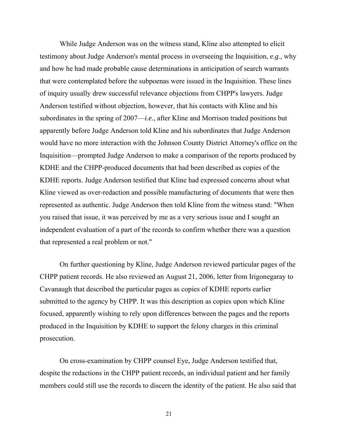While Judge Anderson was on the witness stand, Kline also attempted to elicit testimony about Judge Anderson's mental process in overseeing the Inquisition, *e.g*., why and how he had made probable cause determinations in anticipation of search warrants that were contemplated before the subpoenas were issued in the Inquisition. These lines of inquiry usually drew successful relevance objections from CHPP's lawyers. Judge Anderson testified without objection, however, that his contacts with Kline and his subordinates in the spring of 2007—*i.e.*, after Kline and Morrison traded positions but apparently before Judge Anderson told Kline and his subordinates that Judge Anderson would have no more interaction with the Johnson County District Attorney's office on the Inquisition—prompted Judge Anderson to make a comparison of the reports produced by KDHE and the CHPP-produced documents that had been described as copies of the KDHE reports. Judge Anderson testified that Kline had expressed concerns about what Kline viewed as over-redaction and possible manufacturing of documents that were then represented as authentic. Judge Anderson then told Kline from the witness stand: "When you raised that issue, it was perceived by me as a very serious issue and I sought an independent evaluation of a part of the records to confirm whether there was a question that represented a real problem or not."

On further questioning by Kline, Judge Anderson reviewed particular pages of the CHPP patient records. He also reviewed an August 21, 2006, letter from Irigonegaray to Cavanaugh that described the particular pages as copies of KDHE reports earlier submitted to the agency by CHPP. It was this description as copies upon which Kline focused, apparently wishing to rely upon differences between the pages and the reports produced in the Inquisition by KDHE to support the felony charges in this criminal prosecution.

On cross-examination by CHPP counsel Eye, Judge Anderson testified that, despite the redactions in the CHPP patient records, an individual patient and her family members could still use the records to discern the identity of the patient. He also said that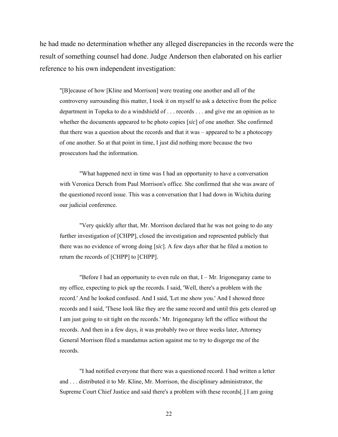he had made no determination whether any alleged discrepancies in the records were the result of something counsel had done. Judge Anderson then elaborated on his earlier reference to his own independent investigation:

"[B]ecause of how [Kline and Morrison] were treating one another and all of the controversy surrounding this matter, I took it on myself to ask a detective from the police department in Topeka to do a windshield of . . . records . . . and give me an opinion as to whether the documents appeared to be photo copies [*sic*] of one another. She confirmed that there was a question about the records and that it was – appeared to be a photocopy of one another. So at that point in time, I just did nothing more because the two prosecutors had the information.

"What happened next in time was I had an opportunity to have a conversation with Veronica Dersch from Paul Morrison's office. She confirmed that she was aware of the questioned record issue. This was a conversation that I had down in Wichita during our judicial conference.

"Very quickly after that, Mr. Morrison declared that he was not going to do any further investigation of [CHPP], closed the investigation and represented publicly that there was no evidence of wrong doing [*sic*]. A few days after that he filed a motion to return the records of [CHPP] to [CHPP].

"Before I had an opportunity to even rule on that,  $I - Mr$ . Irigonegaray came to my office, expecting to pick up the records. I said, 'Well, there's a problem with the record.' And he looked confused. And I said, 'Let me show you.' And I showed three records and I said, 'These look like they are the same record and until this gets cleared up I am just going to sit tight on the records.' Mr. Irigonegaray left the office without the records. And then in a few days, it was probably two or three weeks later, Attorney General Morrison filed a mandamus action against me to try to disgorge me of the records.

"I had notified everyone that there was a questioned record. I had written a letter and . . . distributed it to Mr. Kline, Mr. Morrison, the disciplinary administrator, the Supreme Court Chief Justice and said there's a problem with these records[.] I am going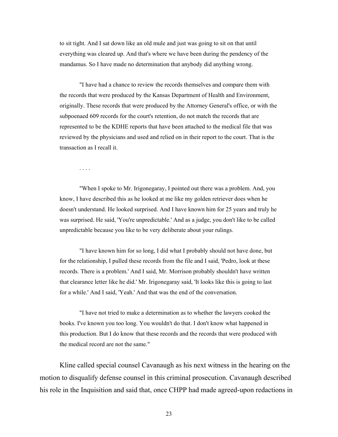to sit tight. And I sat down like an old mule and just was going to sit on that until everything was cleared up. And that's where we have been during the pendency of the mandamus. So I have made no determination that anybody did anything wrong.

"I have had a chance to review the records themselves and compare them with the records that were produced by the Kansas Department of Health and Environment, originally. These records that were produced by the Attorney General's office, or with the subpoenaed 609 records for the court's retention, do not match the records that are represented to be the KDHE reports that have been attached to the medical file that was reviewed by the physicians and used and relied on in their report to the court. That is the transaction as I recall it.

. . . .

"When I spoke to Mr. Irigonegaray, I pointed out there was a problem. And, you know, I have described this as he looked at me like my golden retriever does when he doesn't understand. He looked surprised. And I have known him for 25 years and truly he was surprised. He said, 'You're unpredictable.' And as a judge, you don't like to be called unpredictable because you like to be very deliberate about your rulings.

"I have known him for so long, I did what I probably should not have done, but for the relationship, I pulled these records from the file and I said, 'Pedro, look at these records. There is a problem.' And I said, Mr. Morrison probably shouldn't have written that clearance letter like he did.' Mr. Irigonegaray said, 'It looks like this is going to last for a while.' And I said, 'Yeah.' And that was the end of the conversation.

"I have not tried to make a determination as to whether the lawyers cooked the books. I've known you too long. You wouldn't do that. I don't know what happened in this production. But I do know that these records and the records that were produced with the medical record are not the same."

Kline called special counsel Cavanaugh as his next witness in the hearing on the motion to disqualify defense counsel in this criminal prosecution. Cavanaugh described his role in the Inquisition and said that, once CHPP had made agreed-upon redactions in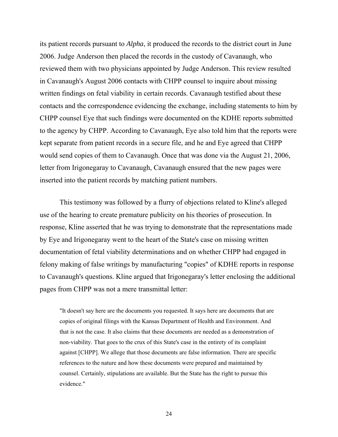its patient records pursuant to *Alpha*, it produced the records to the district court in June 2006. Judge Anderson then placed the records in the custody of Cavanaugh, who reviewed them with two physicians appointed by Judge Anderson. This review resulted in Cavanaugh's August 2006 contacts with CHPP counsel to inquire about missing written findings on fetal viability in certain records. Cavanaugh testified about these contacts and the correspondence evidencing the exchange, including statements to him by CHPP counsel Eye that such findings were documented on the KDHE reports submitted to the agency by CHPP. According to Cavanaugh, Eye also told him that the reports were kept separate from patient records in a secure file, and he and Eye agreed that CHPP would send copies of them to Cavanaugh. Once that was done via the August 21, 2006, letter from Irigonegaray to Cavanaugh, Cavanaugh ensured that the new pages were inserted into the patient records by matching patient numbers.

This testimony was followed by a flurry of objections related to Kline's alleged use of the hearing to create premature publicity on his theories of prosecution. In response, Kline asserted that he was trying to demonstrate that the representations made by Eye and Irigonegaray went to the heart of the State's case on missing written documentation of fetal viability determinations and on whether CHPP had engaged in felony making of false writings by manufacturing "copies" of KDHE reports in response to Cavanaugh's questions. Kline argued that Irigonegaray's letter enclosing the additional pages from CHPP was not a mere transmittal letter:

"It doesn't say here are the documents you requested. It says here are documents that are copies of original filings with the Kansas Department of Health and Environment. And that is not the case. It also claims that these documents are needed as a demonstration of non-viability. That goes to the crux of this State's case in the entirety of its complaint against [CHPP]. We allege that those documents are false information. There are specific references to the nature and how these documents were prepared and maintained by counsel. Certainly, stipulations are available. But the State has the right to pursue this evidence."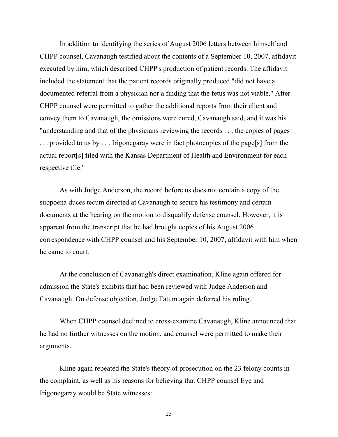In addition to identifying the series of August 2006 letters between himself and CHPP counsel, Cavanaugh testified about the contents of a September 10, 2007, affidavit executed by him, which described CHPP's production of patient records. The affidavit included the statement that the patient records originally produced "did not have a documented referral from a physician nor a finding that the fetus was not viable." After CHPP counsel were permitted to gather the additional reports from their client and convey them to Cavanaugh, the omissions were cured, Cavanaugh said, and it was his "understanding and that of the physicians reviewing the records . . . the copies of pages . . . provided to us by . . . Irigonegaray were in fact photocopies of the page[s] from the actual report[s] filed with the Kansas Department of Health and Environment for each respective file."

As with Judge Anderson, the record before us does not contain a copy of the subpoena duces tecum directed at Cavanaugh to secure his testimony and certain documents at the hearing on the motion to disqualify defense counsel. However, it is apparent from the transcript that he had brought copies of his August 2006 correspondence with CHPP counsel and his September 10, 2007, affidavit with him when he came to court.

At the conclusion of Cavanaugh's direct examination, Kline again offered for admission the State's exhibits that had been reviewed with Judge Anderson and Cavanaugh. On defense objection, Judge Tatum again deferred his ruling.

When CHPP counsel declined to cross-examine Cavanaugh, Kline announced that he had no further witnesses on the motion, and counsel were permitted to make their arguments.

Kline again repeated the State's theory of prosecution on the 23 felony counts in the complaint, as well as his reasons for believing that CHPP counsel Eye and Irigonegaray would be State witnesses: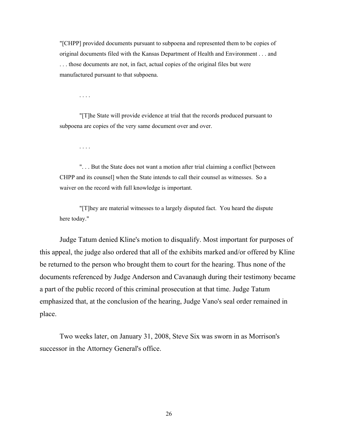"[CHPP] provided documents pursuant to subpoena and represented them to be copies of original documents filed with the Kansas Department of Health and Environment . . . and . . . those documents are not, in fact, actual copies of the original files but were manufactured pursuant to that subpoena.

. . . .

 "[T]he State will provide evidence at trial that the records produced pursuant to subpoena are copies of the very same document over and over.

. . . .

 ". . . But the State does not want a motion after trial claiming a conflict [between CHPP and its counsel] when the State intends to call their counsel as witnesses. So a waiver on the record with full knowledge is important.

"[T]hey are material witnesses to a largely disputed fact. You heard the dispute here today."

Judge Tatum denied Kline's motion to disqualify. Most important for purposes of this appeal, the judge also ordered that all of the exhibits marked and/or offered by Kline be returned to the person who brought them to court for the hearing. Thus none of the documents referenced by Judge Anderson and Cavanaugh during their testimony became a part of the public record of this criminal prosecution at that time. Judge Tatum emphasized that, at the conclusion of the hearing, Judge Vano's seal order remained in place.

Two weeks later, on January 31, 2008, Steve Six was sworn in as Morrison's successor in the Attorney General's office.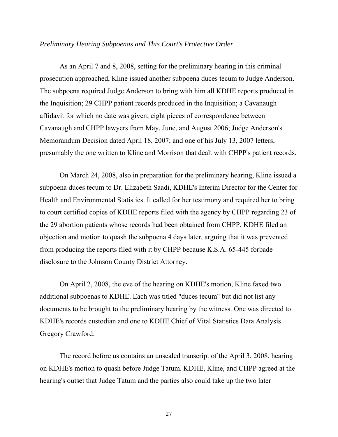#### *Preliminary Hearing Subpoenas and This Court's Protective Order*

As an April 7 and 8, 2008, setting for the preliminary hearing in this criminal prosecution approached, Kline issued another subpoena duces tecum to Judge Anderson. The subpoena required Judge Anderson to bring with him all KDHE reports produced in the Inquisition; 29 CHPP patient records produced in the Inquisition; a Cavanaugh affidavit for which no date was given; eight pieces of correspondence between Cavanaugh and CHPP lawyers from May, June, and August 2006; Judge Anderson's Memorandum Decision dated April 18, 2007; and one of his July 13, 2007 letters, presumably the one written to Kline and Morrison that dealt with CHPP's patient records.

On March 24, 2008, also in preparation for the preliminary hearing, Kline issued a subpoena duces tecum to Dr. Elizabeth Saadi, KDHE's Interim Director for the Center for Health and Environmental Statistics. It called for her testimony and required her to bring to court certified copies of KDHE reports filed with the agency by CHPP regarding 23 of the 29 abortion patients whose records had been obtained from CHPP. KDHE filed an objection and motion to quash the subpoena 4 days later, arguing that it was prevented from producing the reports filed with it by CHPP because K.S.A. 65-445 forbade disclosure to the Johnson County District Attorney.

On April 2, 2008, the eve of the hearing on KDHE's motion, Kline faxed two additional subpoenas to KDHE. Each was titled "duces tecum" but did not list any documents to be brought to the preliminary hearing by the witness. One was directed to KDHE's records custodian and one to KDHE Chief of Vital Statistics Data Analysis Gregory Crawford.

The record before us contains an unsealed transcript of the April 3, 2008, hearing on KDHE's motion to quash before Judge Tatum. KDHE, Kline, and CHPP agreed at the hearing's outset that Judge Tatum and the parties also could take up the two later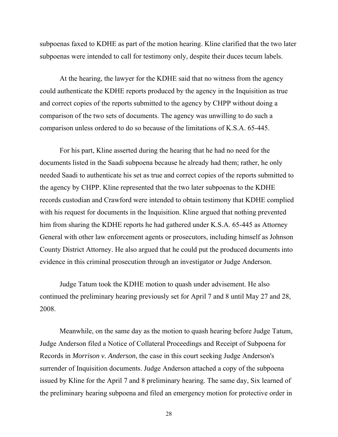subpoenas faxed to KDHE as part of the motion hearing. Kline clarified that the two later subpoenas were intended to call for testimony only, despite their duces tecum labels.

At the hearing, the lawyer for the KDHE said that no witness from the agency could authenticate the KDHE reports produced by the agency in the Inquisition as true and correct copies of the reports submitted to the agency by CHPP without doing a comparison of the two sets of documents. The agency was unwilling to do such a comparison unless ordered to do so because of the limitations of K.S.A. 65-445.

For his part, Kline asserted during the hearing that he had no need for the documents listed in the Saadi subpoena because he already had them; rather, he only needed Saadi to authenticate his set as true and correct copies of the reports submitted to the agency by CHPP. Kline represented that the two later subpoenas to the KDHE records custodian and Crawford were intended to obtain testimony that KDHE complied with his request for documents in the Inquisition. Kline argued that nothing prevented him from sharing the KDHE reports he had gathered under K.S.A. 65-445 as Attorney General with other law enforcement agents or prosecutors, including himself as Johnson County District Attorney. He also argued that he could put the produced documents into evidence in this criminal prosecution through an investigator or Judge Anderson.

Judge Tatum took the KDHE motion to quash under advisement. He also continued the preliminary hearing previously set for April 7 and 8 until May 27 and 28, 2008.

Meanwhile, on the same day as the motion to quash hearing before Judge Tatum, Judge Anderson filed a Notice of Collateral Proceedings and Receipt of Subpoena for Records in *Morrison v. Anderson*, the case in this court seeking Judge Anderson's surrender of Inquisition documents. Judge Anderson attached a copy of the subpoena issued by Kline for the April 7 and 8 preliminary hearing. The same day, Six learned of the preliminary hearing subpoena and filed an emergency motion for protective order in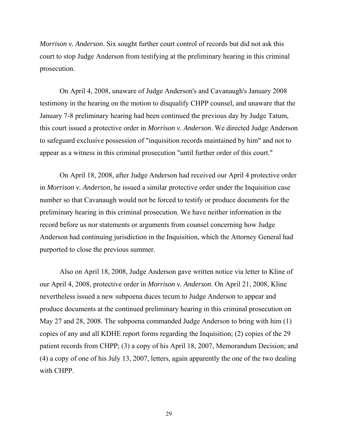*Morrison v. Anderson*. Six sought further court control of records but did not ask this court to stop Judge Anderson from testifying at the preliminary hearing in this criminal prosecution.

On April 4, 2008, unaware of Judge Anderson's and Cavanaugh's January 2008 testimony in the hearing on the motion to disqualify CHPP counsel, and unaware that the January 7-8 preliminary hearing had been continued the previous day by Judge Tatum, this court issued a protective order in *Morrison v. Anderson*. We directed Judge Anderson to safeguard exclusive possession of "inquisition records maintained by him" and not to appear as a witness in this criminal prosecution "until further order of this court."

On April 18, 2008, after Judge Anderson had received our April 4 protective order in *Morrison v. Anderson*, he issued a similar protective order under the Inquisition case number so that Cavanaugh would not be forced to testify or produce documents for the preliminary hearing in this criminal prosecution. We have neither information in the record before us nor statements or arguments from counsel concerning how Judge Anderson had continuing jurisdiction in the Inquisition, which the Attorney General had purported to close the previous summer.

Also on April 18, 2008, Judge Anderson gave written notice via letter to Kline of our April 4, 2008, protective order in *Morrison v. Anderson*. On April 21, 2008, Kline nevertheless issued a new subpoena duces tecum to Judge Anderson to appear and produce documents at the continued preliminary hearing in this criminal prosecution on May 27 and 28, 2008. The subpoena commanded Judge Anderson to bring with him (1) copies of any and all KDHE report forms regarding the Inquisition; (2) copies of the 29 patient records from CHPP; (3) a copy of his April 18, 2007, Memorandum Decision; and (4) a copy of one of his July 13, 2007, letters, again apparently the one of the two dealing with CHPP.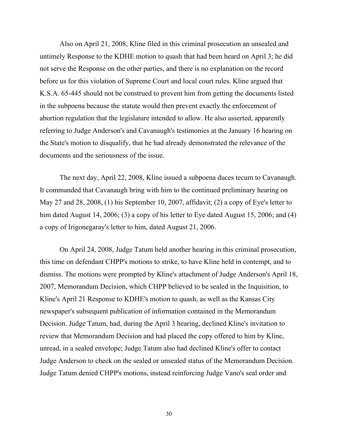Also on April 21, 2008, Kline filed in this criminal prosecution an unsealed and untimely Response to the KDHE motion to quash that had been heard on April 3; he did not serve the Response on the other parties, and there is no explanation on the record before us for this violation of Supreme Court and local court rules. Kline argued that K.S.A. 65-445 should not be construed to prevent him from getting the documents listed in the subpoena because the statute would then prevent exactly the enforcement of abortion regulation that the legislature intended to allow. He also asserted, apparently referring to Judge Anderson's and Cavanaugh's testimonies at the January 16 hearing on the State's motion to disqualify, that he had already demonstrated the relevance of the documents and the seriousness of the issue.

The next day, April 22, 2008, Kline issued a subpoena duces tecum to Cavanaugh. It commanded that Cavanaugh bring with him to the continued preliminary hearing on May 27 and 28, 2008, (1) his September 10, 2007, affidavit; (2) a copy of Eye's letter to him dated August 14, 2006; (3) a copy of his letter to Eye dated August 15, 2006; and (4) a copy of Irigonegaray's letter to him, dated August 21, 2006.

On April 24, 2008, Judge Tatum held another hearing in this criminal prosecution, this time on defendant CHPP's motions to strike, to have Kline held in contempt, and to dismiss. The motions were prompted by Kline's attachment of Judge Anderson's April 18, 2007, Memorandum Decision, which CHPP believed to be sealed in the Inquisition, to Kline's April 21 Response to KDHE's motion to quash, as well as the Kansas City newspaper's subsequent publication of information contained in the Memorandum Decision. Judge Tatum, had, during the April 3 hearing, declined Kline's invitation to review that Memorandum Decision and had placed the copy offered to him by Kline, unread, in a sealed envelope; Judge Tatum also had declined Kline's offer to contact Judge Anderson to check on the sealed or unsealed status of the Memorandum Decision. Judge Tatum denied CHPP's motions, instead reinforcing Judge Vano's seal order and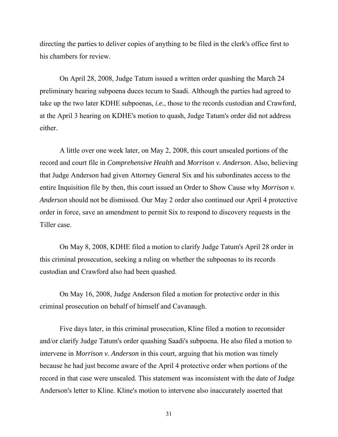directing the parties to deliver copies of anything to be filed in the clerk's office first to his chambers for review.

On April 28, 2008, Judge Tatum issued a written order quashing the March 24 preliminary hearing subpoena duces tecum to Saadi. Although the parties had agreed to take up the two later KDHE subpoenas, *i.e.*, those to the records custodian and Crawford, at the April 3 hearing on KDHE's motion to quash, Judge Tatum's order did not address either.

A little over one week later, on May 2, 2008, this court unsealed portions of the record and court file in *Comprehensive Health* and *Morrison v. Anderson*. Also, believing that Judge Anderson had given Attorney General Six and his subordinates access to the entire Inquisition file by then, this court issued an Order to Show Cause why *Morrison v. Anderson* should not be dismissed. Our May 2 order also continued our April 4 protective order in force, save an amendment to permit Six to respond to discovery requests in the Tiller case.

On May 8, 2008, KDHE filed a motion to clarify Judge Tatum's April 28 order in this criminal prosecution, seeking a ruling on whether the subpoenas to its records custodian and Crawford also had been quashed.

On May 16, 2008, Judge Anderson filed a motion for protective order in this criminal prosecution on behalf of himself and Cavanaugh.

Five days later, in this criminal prosecution, Kline filed a motion to reconsider and/or clarify Judge Tatum's order quashing Saadi's subpoena. He also filed a motion to intervene in *Morrison v. Anderson* in this court, arguing that his motion was timely because he had just become aware of the April 4 protective order when portions of the record in that case were unsealed. This statement was inconsistent with the date of Judge Anderson's letter to Kline. Kline's motion to intervene also inaccurately asserted that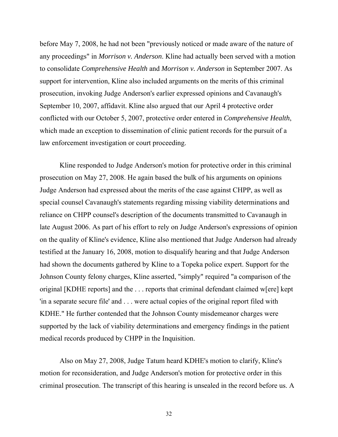before May 7, 2008, he had not been "previously noticed or made aware of the nature of any proceedings" in *Morrison v. Anderson*. Kline had actually been served with a motion to consolidate *Comprehensive Health* and *Morrison v. Anderson* in September 2007. As support for intervention, Kline also included arguments on the merits of this criminal prosecution, invoking Judge Anderson's earlier expressed opinions and Cavanaugh's September 10, 2007, affidavit. Kline also argued that our April 4 protective order conflicted with our October 5, 2007, protective order entered in *Comprehensive Health*, which made an exception to dissemination of clinic patient records for the pursuit of a law enforcement investigation or court proceeding.

Kline responded to Judge Anderson's motion for protective order in this criminal prosecution on May 27, 2008. He again based the bulk of his arguments on opinions Judge Anderson had expressed about the merits of the case against CHPP, as well as special counsel Cavanaugh's statements regarding missing viability determinations and reliance on CHPP counsel's description of the documents transmitted to Cavanaugh in late August 2006. As part of his effort to rely on Judge Anderson's expressions of opinion on the quality of Kline's evidence, Kline also mentioned that Judge Anderson had already testified at the January 16, 2008, motion to disqualify hearing and that Judge Anderson had shown the documents gathered by Kline to a Topeka police expert. Support for the Johnson County felony charges, Kline asserted, "simply" required "a comparison of the original [KDHE reports] and the . . . reports that criminal defendant claimed w[ere] kept 'in a separate secure file' and . . . were actual copies of the original report filed with KDHE." He further contended that the Johnson County misdemeanor charges were supported by the lack of viability determinations and emergency findings in the patient medical records produced by CHPP in the Inquisition.

Also on May 27, 2008, Judge Tatum heard KDHE's motion to clarify, Kline's motion for reconsideration, and Judge Anderson's motion for protective order in this criminal prosecution. The transcript of this hearing is unsealed in the record before us. A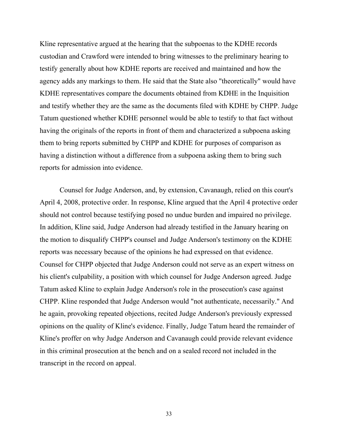Kline representative argued at the hearing that the subpoenas to the KDHE records custodian and Crawford were intended to bring witnesses to the preliminary hearing to testify generally about how KDHE reports are received and maintained and how the agency adds any markings to them. He said that the State also "theoretically" would have KDHE representatives compare the documents obtained from KDHE in the Inquisition and testify whether they are the same as the documents filed with KDHE by CHPP. Judge Tatum questioned whether KDHE personnel would be able to testify to that fact without having the originals of the reports in front of them and characterized a subpoena asking them to bring reports submitted by CHPP and KDHE for purposes of comparison as having a distinction without a difference from a subpoena asking them to bring such reports for admission into evidence.

Counsel for Judge Anderson, and, by extension, Cavanaugh, relied on this court's April 4, 2008, protective order. In response, Kline argued that the April 4 protective order should not control because testifying posed no undue burden and impaired no privilege. In addition, Kline said, Judge Anderson had already testified in the January hearing on the motion to disqualify CHPP's counsel and Judge Anderson's testimony on the KDHE reports was necessary because of the opinions he had expressed on that evidence. Counsel for CHPP objected that Judge Anderson could not serve as an expert witness on his client's culpability, a position with which counsel for Judge Anderson agreed. Judge Tatum asked Kline to explain Judge Anderson's role in the prosecution's case against CHPP. Kline responded that Judge Anderson would "not authenticate, necessarily." And he again, provoking repeated objections, recited Judge Anderson's previously expressed opinions on the quality of Kline's evidence. Finally, Judge Tatum heard the remainder of Kline's proffer on why Judge Anderson and Cavanaugh could provide relevant evidence in this criminal prosecution at the bench and on a sealed record not included in the transcript in the record on appeal.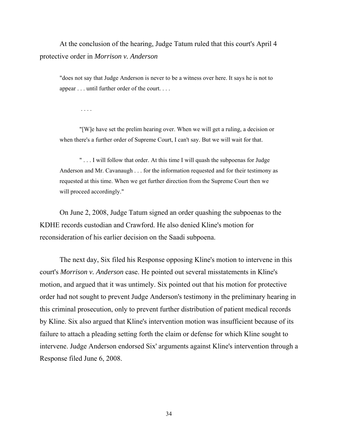At the conclusion of the hearing, Judge Tatum ruled that this court's April 4 protective order in *Morrison v. Anderson*

"does not say that Judge Anderson is never to be a witness over here. It says he is not to appear . . . until further order of the court. . . .

. . . .

 "[W]e have set the prelim hearing over. When we will get a ruling, a decision or when there's a further order of Supreme Court, I can't say. But we will wait for that.

" . . . I will follow that order. At this time I will quash the subpoenas for Judge Anderson and Mr. Cavanaugh . . . for the information requested and for their testimony as requested at this time. When we get further direction from the Supreme Court then we will proceed accordingly."

On June 2, 2008, Judge Tatum signed an order quashing the subpoenas to the KDHE records custodian and Crawford. He also denied Kline's motion for reconsideration of his earlier decision on the Saadi subpoena.

The next day, Six filed his Response opposing Kline's motion to intervene in this court's *Morrison v. Anderson* case. He pointed out several misstatements in Kline's motion, and argued that it was untimely. Six pointed out that his motion for protective order had not sought to prevent Judge Anderson's testimony in the preliminary hearing in this criminal prosecution, only to prevent further distribution of patient medical records by Kline. Six also argued that Kline's intervention motion was insufficient because of its failure to attach a pleading setting forth the claim or defense for which Kline sought to intervene. Judge Anderson endorsed Six' arguments against Kline's intervention through a Response filed June 6, 2008.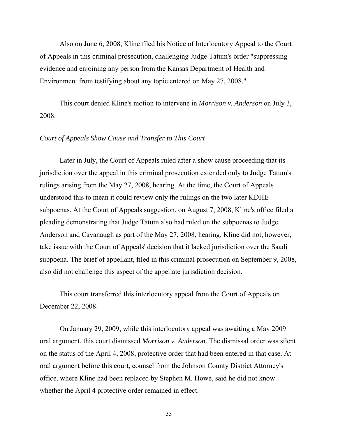Also on June 6, 2008, Kline filed his Notice of Interlocutory Appeal to the Court of Appeals in this criminal prosecution, challenging Judge Tatum's order "suppressing evidence and enjoining any person from the Kansas Department of Health and Environment from testifying about any topic entered on May 27, 2008."

This court denied Kline's motion to intervene in *Morrison v. Anderson* on July 3, 2008.

# *Court of Appeals Show Cause and Transfer to This Court*

Later in July, the Court of Appeals ruled after a show cause proceeding that its jurisdiction over the appeal in this criminal prosecution extended only to Judge Tatum's rulings arising from the May 27, 2008, hearing. At the time, the Court of Appeals understood this to mean it could review only the rulings on the two later KDHE subpoenas. At the Court of Appeals suggestion, on August 7, 2008, Kline's office filed a pleading demonstrating that Judge Tatum also had ruled on the subpoenas to Judge Anderson and Cavanaugh as part of the May 27, 2008, hearing. Kline did not, however, take issue with the Court of Appeals' decision that it lacked jurisdiction over the Saadi subpoena. The brief of appellant, filed in this criminal prosecution on September 9, 2008, also did not challenge this aspect of the appellate jurisdiction decision.

This court transferred this interlocutory appeal from the Court of Appeals on December 22, 2008.

On January 29, 2009, while this interlocutory appeal was awaiting a May 2009 oral argument, this court dismissed *Morrison v. Anderson*. The dismissal order was silent on the status of the April 4, 2008, protective order that had been entered in that case. At oral argument before this court, counsel from the Johnson County District Attorney's office, where Kline had been replaced by Stephen M. Howe, said he did not know whether the April 4 protective order remained in effect.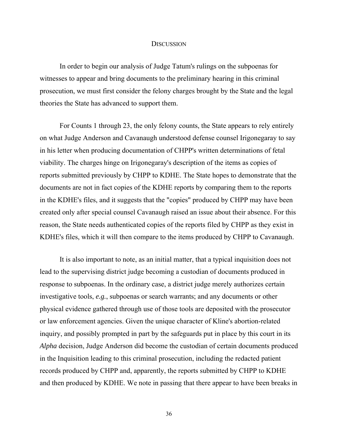#### **DISCUSSION**

In order to begin our analysis of Judge Tatum's rulings on the subpoenas for witnesses to appear and bring documents to the preliminary hearing in this criminal prosecution, we must first consider the felony charges brought by the State and the legal theories the State has advanced to support them.

For Counts 1 through 23, the only felony counts, the State appears to rely entirely on what Judge Anderson and Cavanaugh understood defense counsel Irigonegaray to say in his letter when producing documentation of CHPP's written determinations of fetal viability. The charges hinge on Irigonegaray's description of the items as copies of reports submitted previously by CHPP to KDHE. The State hopes to demonstrate that the documents are not in fact copies of the KDHE reports by comparing them to the reports in the KDHE's files, and it suggests that the "copies" produced by CHPP may have been created only after special counsel Cavanaugh raised an issue about their absence. For this reason, the State needs authenticated copies of the reports filed by CHPP as they exist in KDHE's files, which it will then compare to the items produced by CHPP to Cavanaugh.

It is also important to note, as an initial matter, that a typical inquisition does not lead to the supervising district judge becoming a custodian of documents produced in response to subpoenas. In the ordinary case, a district judge merely authorizes certain investigative tools, *e.g.*, subpoenas or search warrants; and any documents or other physical evidence gathered through use of those tools are deposited with the prosecutor or law enforcement agencies. Given the unique character of Kline's abortion-related inquiry, and possibly prompted in part by the safeguards put in place by this court in its *Alpha* decision, Judge Anderson did become the custodian of certain documents produced in the Inquisition leading to this criminal prosecution, including the redacted patient records produced by CHPP and, apparently, the reports submitted by CHPP to KDHE and then produced by KDHE. We note in passing that there appear to have been breaks in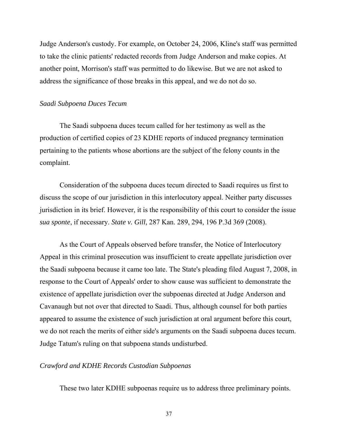Judge Anderson's custody. For example, on October 24, 2006, Kline's staff was permitted to take the clinic patients' redacted records from Judge Anderson and make copies. At another point, Morrison's staff was permitted to do likewise. But we are not asked to address the significance of those breaks in this appeal, and we do not do so.

### *Saadi Subpoena Duces Tecum*

 The Saadi subpoena duces tecum called for her testimony as well as the production of certified copies of 23 KDHE reports of induced pregnancy termination pertaining to the patients whose abortions are the subject of the felony counts in the complaint.

 Consideration of the subpoena duces tecum directed to Saadi requires us first to discuss the scope of our jurisdiction in this interlocutory appeal. Neither party discusses jurisdiction in its brief. However, it is the responsibility of this court to consider the issue *sua sponte*, if necessary. *State v. Gill*, 287 Kan. 289, 294, 196 P.3d 369 (2008).

 As the Court of Appeals observed before transfer, the Notice of Interlocutory Appeal in this criminal prosecution was insufficient to create appellate jurisdiction over the Saadi subpoena because it came too late. The State's pleading filed August 7, 2008, in response to the Court of Appeals' order to show cause was sufficient to demonstrate the existence of appellate jurisdiction over the subpoenas directed at Judge Anderson and Cavanaugh but not over that directed to Saadi. Thus, although counsel for both parties appeared to assume the existence of such jurisdiction at oral argument before this court, we do not reach the merits of either side's arguments on the Saadi subpoena duces tecum. Judge Tatum's ruling on that subpoena stands undisturbed.

#### *Crawford and KDHE Records Custodian Subpoenas*

These two later KDHE subpoenas require us to address three preliminary points.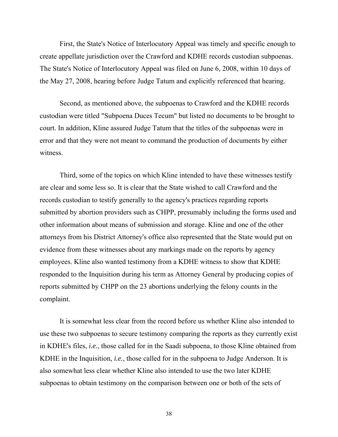First, the State's Notice of Interlocutory Appeal was timely and specific enough to create appellate jurisdiction over the Crawford and KDHE records custodian subpoenas. The State's Notice of Interlocutory Appeal was filed on June 6, 2008, within 10 days of the May 27, 2008, hearing before Judge Tatum and explicitly referenced that hearing.

 Second, as mentioned above, the subpoenas to Crawford and the KDHE records custodian were titled "Subpoena Duces Tecum" but listed no documents to be brought to court. In addition, Kline assured Judge Tatum that the titles of the subpoenas were in error and that they were not meant to command the production of documents by either witness.

Third, some of the topics on which Kline intended to have these witnesses testify are clear and some less so. It is clear that the State wished to call Crawford and the records custodian to testify generally to the agency's practices regarding reports submitted by abortion providers such as CHPP, presumably including the forms used and other information about means of submission and storage. Kline and one of the other attorneys from his District Attorney's office also represented that the State would put on evidence from these witnesses about any markings made on the reports by agency employees. Kline also wanted testimony from a KDHE witness to show that KDHE responded to the Inquisition during his term as Attorney General by producing copies of reports submitted by CHPP on the 23 abortions underlying the felony counts in the complaint.

 It is somewhat less clear from the record before us whether Kline also intended to use these two subpoenas to secure testimony comparing the reports as they currently exist in KDHE's files, *i.e.*, those called for in the Saadi subpoena, to those Kline obtained from KDHE in the Inquisition, *i.e.*, those called for in the subpoena to Judge Anderson. It is also somewhat less clear whether Kline also intended to use the two later KDHE subpoenas to obtain testimony on the comparison between one or both of the sets of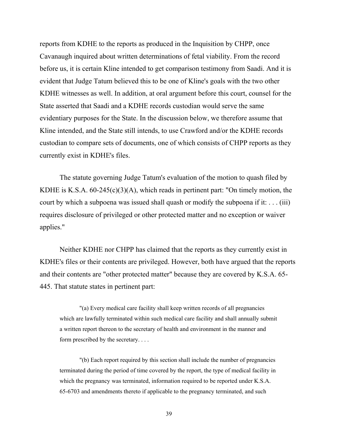reports from KDHE to the reports as produced in the Inquisition by CHPP, once Cavanaugh inquired about written determinations of fetal viability. From the record before us, it is certain Kline intended to get comparison testimony from Saadi. And it is evident that Judge Tatum believed this to be one of Kline's goals with the two other KDHE witnesses as well. In addition, at oral argument before this court, counsel for the State asserted that Saadi and a KDHE records custodian would serve the same evidentiary purposes for the State. In the discussion below, we therefore assume that Kline intended, and the State still intends, to use Crawford and/or the KDHE records custodian to compare sets of documents, one of which consists of CHPP reports as they currently exist in KDHE's files.

 The statute governing Judge Tatum's evaluation of the motion to quash filed by KDHE is K.S.A.  $60-245(c)(3)(A)$ , which reads in pertinent part: "On timely motion, the court by which a subpoena was issued shall quash or modify the subpoena if it: . . . (iii) requires disclosure of privileged or other protected matter and no exception or waiver applies."

 Neither KDHE nor CHPP has claimed that the reports as they currently exist in KDHE's files or their contents are privileged. However, both have argued that the reports and their contents are "other protected matter" because they are covered by K.S.A. 65- 445. That statute states in pertinent part:

"(a) Every medical care facility shall keep written records of all pregnancies which are lawfully terminated within such medical care facility and shall annually submit a written report thereon to the secretary of health and environment in the manner and form prescribed by the secretary. . . .

"(b) Each report required by this section shall include the number of pregnancies terminated during the period of time covered by the report, the type of medical facility in which the pregnancy was terminated, information required to be reported under K.S.A. 65-6703 and amendments thereto if applicable to the pregnancy terminated, and such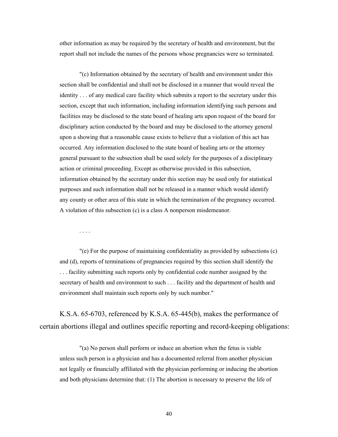other information as may be required by the secretary of health and environment, but the report shall not include the names of the persons whose pregnancies were so terminated.

"(c) Information obtained by the secretary of health and environment under this section shall be confidential and shall not be disclosed in a manner that would reveal the identity . . . of any medical care facility which submits a report to the secretary under this section, except that such information, including information identifying such persons and facilities may be disclosed to the state board of healing arts upon request of the board for disciplinary action conducted by the board and may be disclosed to the attorney general upon a showing that a reasonable cause exists to believe that a violation of this act has occurred. Any information disclosed to the state board of healing arts or the attorney general pursuant to the subsection shall be used solely for the purposes of a disciplinary action or criminal proceeding. Except as otherwise provided in this subsection, information obtained by the secretary under this section may be used only for statistical purposes and such information shall not be released in a manner which would identify any county or other area of this state in which the termination of the pregnancy occurred. A violation of this subsection (c) is a class A nonperson misdemeanor.

. . . .

"(e) For the purpose of maintaining confidentiality as provided by subsections (c) and (d), reports of terminations of pregnancies required by this section shall identify the . . . facility submitting such reports only by confidential code number assigned by the secretary of health and environment to such . . . facility and the department of health and environment shall maintain such reports only by such number."

K.S.A. 65-6703, referenced by K.S.A. 65-445(b), makes the performance of certain abortions illegal and outlines specific reporting and record-keeping obligations:

"(a) No person shall perform or induce an abortion when the fetus is viable unless such person is a physician and has a documented referral from another physician not legally or financially affiliated with the physician performing or inducing the abortion and both physicians determine that: (1) The abortion is necessary to preserve the life of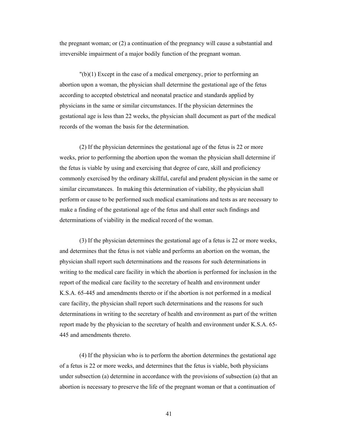the pregnant woman; or (2) a continuation of the pregnancy will cause a substantial and irreversible impairment of a major bodily function of the pregnant woman.

"(b)(1) Except in the case of a medical emergency, prior to performing an abortion upon a woman, the physician shall determine the gestational age of the fetus according to accepted obstetrical and neonatal practice and standards applied by physicians in the same or similar circumstances. If the physician determines the gestational age is less than 22 weeks, the physician shall document as part of the medical records of the woman the basis for the determination.

(2) If the physician determines the gestational age of the fetus is 22 or more weeks, prior to performing the abortion upon the woman the physician shall determine if the fetus is viable by using and exercising that degree of care, skill and proficiency commonly exercised by the ordinary skillful, careful and prudent physician in the same or similar circumstances. In making this determination of viability, the physician shall perform or cause to be performed such medical examinations and tests as are necessary to make a finding of the gestational age of the fetus and shall enter such findings and determinations of viability in the medical record of the woman.

(3) If the physician determines the gestational age of a fetus is 22 or more weeks, and determines that the fetus is not viable and performs an abortion on the woman, the physician shall report such determinations and the reasons for such determinations in writing to the medical care facility in which the abortion is performed for inclusion in the report of the medical care facility to the secretary of health and environment under K.S.A. 65-445 and amendments thereto or if the abortion is not performed in a medical care facility, the physician shall report such determinations and the reasons for such determinations in writing to the secretary of health and environment as part of the written report made by the physician to the secretary of health and environment under K.S.A. 65- 445 and amendments thereto.

(4) If the physician who is to perform the abortion determines the gestational age of a fetus is 22 or more weeks, and determines that the fetus is viable, both physicians under subsection (a) determine in accordance with the provisions of subsection (a) that an abortion is necessary to preserve the life of the pregnant woman or that a continuation of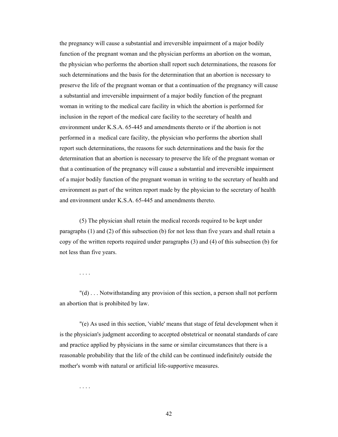the pregnancy will cause a substantial and irreversible impairment of a major bodily function of the pregnant woman and the physician performs an abortion on the woman, the physician who performs the abortion shall report such determinations, the reasons for such determinations and the basis for the determination that an abortion is necessary to preserve the life of the pregnant woman or that a continuation of the pregnancy will cause a substantial and irreversible impairment of a major bodily function of the pregnant woman in writing to the medical care facility in which the abortion is performed for inclusion in the report of the medical care facility to the secretary of health and environment under K.S.A. 65-445 and amendments thereto or if the abortion is not performed in a medical care facility, the physician who performs the abortion shall report such determinations, the reasons for such determinations and the basis for the determination that an abortion is necessary to preserve the life of the pregnant woman or that a continuation of the pregnancy will cause a substantial and irreversible impairment of a major bodily function of the pregnant woman in writing to the secretary of health and environment as part of the written report made by the physician to the secretary of health and environment under K.S.A. 65-445 and amendments thereto.

(5) The physician shall retain the medical records required to be kept under paragraphs (1) and (2) of this subsection (b) for not less than five years and shall retain a copy of the written reports required under paragraphs (3) and (4) of this subsection (b) for not less than five years.

. . . .

"(d) . . . Notwithstanding any provision of this section, a person shall not perform an abortion that is prohibited by law.

"(e) As used in this section, 'viable' means that stage of fetal development when it is the physician's judgment according to accepted obstetrical or neonatal standards of care and practice applied by physicians in the same or similar circumstances that there is a reasonable probability that the life of the child can be continued indefinitely outside the mother's womb with natural or artificial life-supportive measures.

. . . .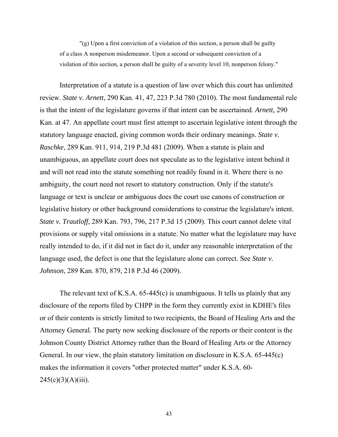"(g) Upon a first conviction of a violation of this section, a person shall be guilty of a class A nonperson misdemeanor. Upon a second or subsequent conviction of a violation of this section, a person shall be guilty of a severity level 10, nonperson felony."

 Interpretation of a statute is a question of law over which this court has unlimited review. *State v. Arnett*, 290 Kan. 41, 47, 223 P.3d 780 (2010). The most fundamental rule is that the intent of the legislature governs if that intent can be ascertained. *Arnett,* 290 Kan. at 47. An appellate court must first attempt to ascertain legislative intent through the statutory language enacted, giving common words their ordinary meanings. *State v. Raschke*, 289 Kan. 911, 914, 219 P.3d 481 (2009). When a statute is plain and unambiguous, an appellate court does not speculate as to the legislative intent behind it and will not read into the statute something not readily found in it. Where there is no ambiguity, the court need not resort to statutory construction. Only if the statute's language or text is unclear or ambiguous does the court use canons of construction or legislative history or other background considerations to construe the legislature's intent. *State v. Trautloff*, 289 Kan. 793, 796, 217 P.3d 15 (2009). This court cannot delete vital provisions or supply vital omissions in a statute. No matter what the legislature may have really intended to do, if it did not in fact do it, under any reasonable interpretation of the language used, the defect is one that the legislature alone can correct. See *State v. Johnson*, 289 Kan. 870, 879, 218 P.3d 46 (2009).

The relevant text of K.S.A. 65-445(c) is unambiguous. It tells us plainly that any disclosure of the reports filed by CHPP in the form they currently exist in KDHE's files or of their contents is strictly limited to two recipients, the Board of Healing Arts and the Attorney General. The party now seeking disclosure of the reports or their content is the Johnson County District Attorney rather than the Board of Healing Arts or the Attorney General. In our view, the plain statutory limitation on disclosure in K.S.A. 65-445(c) makes the information it covers "other protected matter" under K.S.A. 60-  $245(c)(3)(A)(iii)$ .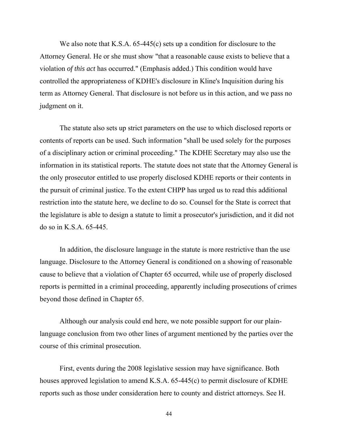We also note that K.S.A. 65-445(c) sets up a condition for disclosure to the Attorney General. He or she must show "that a reasonable cause exists to believe that a violation *of this act* has occurred." (Emphasis added.) This condition would have controlled the appropriateness of KDHE's disclosure in Kline's Inquisition during his term as Attorney General. That disclosure is not before us in this action, and we pass no judgment on it.

 The statute also sets up strict parameters on the use to which disclosed reports or contents of reports can be used. Such information "shall be used solely for the purposes of a disciplinary action or criminal proceeding." The KDHE Secretary may also use the information in its statistical reports. The statute does not state that the Attorney General is the only prosecutor entitled to use properly disclosed KDHE reports or their contents in the pursuit of criminal justice. To the extent CHPP has urged us to read this additional restriction into the statute here, we decline to do so. Counsel for the State is correct that the legislature is able to design a statute to limit a prosecutor's jurisdiction, and it did not do so in K.S.A. 65-445.

 In addition, the disclosure language in the statute is more restrictive than the use language. Disclosure to the Attorney General is conditioned on a showing of reasonable cause to believe that a violation of Chapter 65 occurred, while use of properly disclosed reports is permitted in a criminal proceeding, apparently including prosecutions of crimes beyond those defined in Chapter 65.

 Although our analysis could end here, we note possible support for our plainlanguage conclusion from two other lines of argument mentioned by the parties over the course of this criminal prosecution.

 First, events during the 2008 legislative session may have significance. Both houses approved legislation to amend K.S.A. 65-445(c) to permit disclosure of KDHE reports such as those under consideration here to county and district attorneys. See H.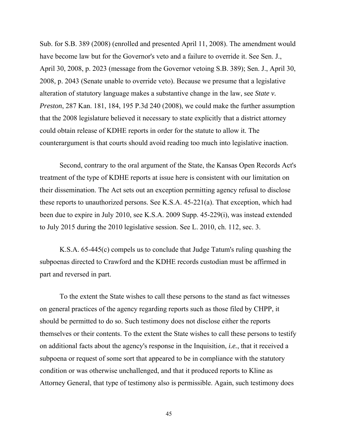Sub. for S.B. 389 (2008) (enrolled and presented April 11, 2008). The amendment would have become law but for the Governor's veto and a failure to override it. See Sen. J., April 30, 2008, p. 2023 (message from the Governor vetoing S.B. 389); Sen. J., April 30, 2008, p. 2043 (Senate unable to override veto). Because we presume that a legislative alteration of statutory language makes a substantive change in the law, see *State v. Preston*, 287 Kan. 181, 184, 195 P.3d 240 (2008), we could make the further assumption that the 2008 legislature believed it necessary to state explicitly that a district attorney could obtain release of KDHE reports in order for the statute to allow it. The counterargument is that courts should avoid reading too much into legislative inaction.

 Second, contrary to the oral argument of the State, the Kansas Open Records Act's treatment of the type of KDHE reports at issue here is consistent with our limitation on their dissemination. The Act sets out an exception permitting agency refusal to disclose these reports to unauthorized persons. See K.S.A. 45-221(a). That exception, which had been due to expire in July 2010, see K.S.A. 2009 Supp. 45-229(i), was instead extended to July 2015 during the 2010 legislative session. See L. 2010, ch. 112, sec. 3.

 K.S.A. 65-445(c) compels us to conclude that Judge Tatum's ruling quashing the subpoenas directed to Crawford and the KDHE records custodian must be affirmed in part and reversed in part.

To the extent the State wishes to call these persons to the stand as fact witnesses on general practices of the agency regarding reports such as those filed by CHPP, it should be permitted to do so. Such testimony does not disclose either the reports themselves or their contents. To the extent the State wishes to call these persons to testify on additional facts about the agency's response in the Inquisition, *i.e.*, that it received a subpoena or request of some sort that appeared to be in compliance with the statutory condition or was otherwise unchallenged, and that it produced reports to Kline as Attorney General, that type of testimony also is permissible. Again, such testimony does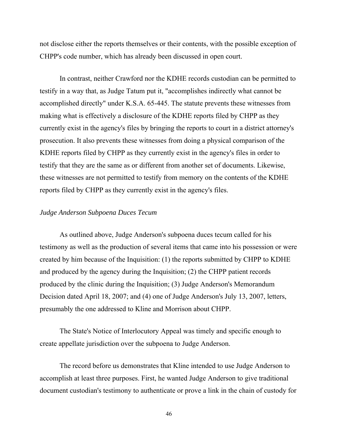not disclose either the reports themselves or their contents, with the possible exception of CHPP's code number, which has already been discussed in open court.

 In contrast, neither Crawford nor the KDHE records custodian can be permitted to testify in a way that, as Judge Tatum put it, "accomplishes indirectly what cannot be accomplished directly" under K.S.A. 65-445. The statute prevents these witnesses from making what is effectively a disclosure of the KDHE reports filed by CHPP as they currently exist in the agency's files by bringing the reports to court in a district attorney's prosecution. It also prevents these witnesses from doing a physical comparison of the KDHE reports filed by CHPP as they currently exist in the agency's files in order to testify that they are the same as or different from another set of documents. Likewise, these witnesses are not permitted to testify from memory on the contents of the KDHE reports filed by CHPP as they currently exist in the agency's files.

### *Judge Anderson Subpoena Duces Tecum*

 As outlined above, Judge Anderson's subpoena duces tecum called for his testimony as well as the production of several items that came into his possession or were created by him because of the Inquisition: (1) the reports submitted by CHPP to KDHE and produced by the agency during the Inquisition; (2) the CHPP patient records produced by the clinic during the Inquisition; (3) Judge Anderson's Memorandum Decision dated April 18, 2007; and (4) one of Judge Anderson's July 13, 2007, letters, presumably the one addressed to Kline and Morrison about CHPP.

 The State's Notice of Interlocutory Appeal was timely and specific enough to create appellate jurisdiction over the subpoena to Judge Anderson.

 The record before us demonstrates that Kline intended to use Judge Anderson to accomplish at least three purposes. First, he wanted Judge Anderson to give traditional document custodian's testimony to authenticate or prove a link in the chain of custody for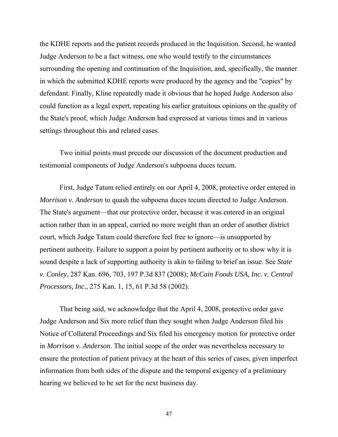the KDHE reports and the patient records produced in the Inquisition. Second, he wanted Judge Anderson to be a fact witness, one who would testify to the circumstances surrounding the opening and continuation of the Inquisition, and, specifically, the manner in which the submitted KDHE reports were produced by the agency and the "copies" by defendant. Finally, Kline repeatedly made it obvious that he hoped Judge Anderson also could function as a legal expert, repeating his earlier gratuitous opinions on the quality of the State's proof, which Judge Anderson had expressed at various times and in various settings throughout this and related cases.

 Two initial points must precede our discussion of the document production and testimonial components of Judge Anderson's subpoena duces tecum.

 First, Judge Tatum relied entirely on our April 4, 2008, protective order entered in *Morrison v. Anderson* to quash the subpoena duces tecum directed to Judge Anderson. The State's argument—that our protective order, because it was entered in an original action rather than in an appeal, carried no more weight than an order of another district court, which Judge Tatum could therefore feel free to ignore—is unsupported by pertinent authority. Failure to support a point by pertinent authority or to show why it is sound despite a lack of supporting authority is akin to failing to brief an issue. See *State v. Conley*, 287 Kan. 696, 703, 197 P.3d 837 (2008); *McCain Foods USA, Inc. v. Central Processors, Inc*., 275 Kan. 1, 15, 61 P.3d 58 (2002).

 That being said, we acknowledge that the April 4, 2008, protective order gave Judge Anderson and Six more relief than they sought when Judge Anderson filed his Notice of Collateral Proceedings and Six filed his emergency motion for protective order in *Morrison v. Anderson*. The initial scope of the order was nevertheless necessary to ensure the protection of patient privacy at the heart of this series of cases, given imperfect information from both sides of the dispute and the temporal exigency of a preliminary hearing we believed to be set for the next business day.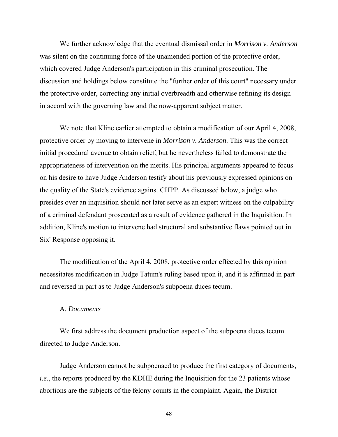We further acknowledge that the eventual dismissal order in *Morrison v. Anderson* was silent on the continuing force of the unamended portion of the protective order, which covered Judge Anderson's participation in this criminal prosecution. The discussion and holdings below constitute the "further order of this court" necessary under the protective order, correcting any initial overbreadth and otherwise refining its design in accord with the governing law and the now-apparent subject matter.

 We note that Kline earlier attempted to obtain a modification of our April 4, 2008, protective order by moving to intervene in *Morrison v. Anderson*. This was the correct initial procedural avenue to obtain relief, but he nevertheless failed to demonstrate the appropriateness of intervention on the merits. His principal arguments appeared to focus on his desire to have Judge Anderson testify about his previously expressed opinions on the quality of the State's evidence against CHPP. As discussed below, a judge who presides over an inquisition should not later serve as an expert witness on the culpability of a criminal defendant prosecuted as a result of evidence gathered in the Inquisition. In addition, Kline's motion to intervene had structural and substantive flaws pointed out in Six' Response opposing it.

 The modification of the April 4, 2008, protective order effected by this opinion necessitates modification in Judge Tatum's ruling based upon it, and it is affirmed in part and reversed in part as to Judge Anderson's subpoena duces tecum.

# A*. Documents*

 We first address the document production aspect of the subpoena duces tecum directed to Judge Anderson.

 Judge Anderson cannot be subpoenaed to produce the first category of documents, *i.e.*, the reports produced by the KDHE during the Inquisition for the 23 patients whose abortions are the subjects of the felony counts in the complaint. Again, the District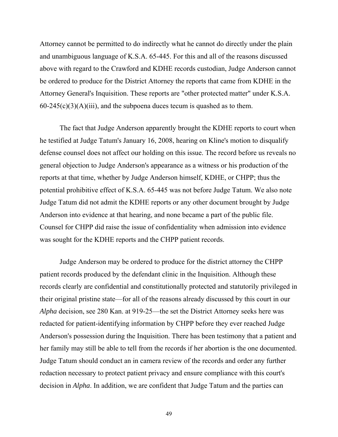Attorney cannot be permitted to do indirectly what he cannot do directly under the plain and unambiguous language of K.S.A. 65-445. For this and all of the reasons discussed above with regard to the Crawford and KDHE records custodian, Judge Anderson cannot be ordered to produce for the District Attorney the reports that came from KDHE in the Attorney General's Inquisition. These reports are "other protected matter" under K.S.A.  $60-245(c)(3)(A)(iii)$ , and the subpoena duces tecum is quashed as to them.

 The fact that Judge Anderson apparently brought the KDHE reports to court when he testified at Judge Tatum's January 16, 2008, hearing on Kline's motion to disqualify defense counsel does not affect our holding on this issue. The record before us reveals no general objection to Judge Anderson's appearance as a witness or his production of the reports at that time, whether by Judge Anderson himself, KDHE, or CHPP; thus the potential prohibitive effect of K.S.A. 65-445 was not before Judge Tatum. We also note Judge Tatum did not admit the KDHE reports or any other document brought by Judge Anderson into evidence at that hearing, and none became a part of the public file. Counsel for CHPP did raise the issue of confidentiality when admission into evidence was sought for the KDHE reports and the CHPP patient records.

 Judge Anderson may be ordered to produce for the district attorney the CHPP patient records produced by the defendant clinic in the Inquisition. Although these records clearly are confidential and constitutionally protected and statutorily privileged in their original pristine state—for all of the reasons already discussed by this court in our *Alpha* decision, see 280 Kan. at 919-25—the set the District Attorney seeks here was redacted for patient-identifying information by CHPP before they ever reached Judge Anderson's possession during the Inquisition. There has been testimony that a patient and her family may still be able to tell from the records if her abortion is the one documented. Judge Tatum should conduct an in camera review of the records and order any further redaction necessary to protect patient privacy and ensure compliance with this court's decision in *Alpha*. In addition, we are confident that Judge Tatum and the parties can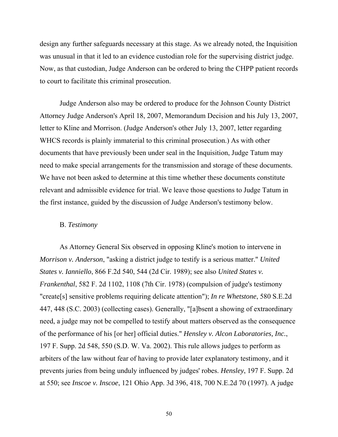design any further safeguards necessary at this stage. As we already noted, the Inquisition was unusual in that it led to an evidence custodian role for the supervising district judge. Now, as that custodian, Judge Anderson can be ordered to bring the CHPP patient records to court to facilitate this criminal prosecution.

 Judge Anderson also may be ordered to produce for the Johnson County District Attorney Judge Anderson's April 18, 2007, Memorandum Decision and his July 13, 2007, letter to Kline and Morrison. (Judge Anderson's other July 13, 2007, letter regarding WHCS records is plainly immaterial to this criminal prosecution.) As with other documents that have previously been under seal in the Inquisition, Judge Tatum may need to make special arrangements for the transmission and storage of these documents. We have not been asked to determine at this time whether these documents constitute relevant and admissible evidence for trial. We leave those questions to Judge Tatum in the first instance, guided by the discussion of Judge Anderson's testimony below.

### B. *Testimony*

As Attorney General Six observed in opposing Kline's motion to intervene in *Morrison v. Anderson*, "asking a district judge to testify is a serious matter." *United States v. Ianniello*, 866 F.2d 540, 544 (2d Cir. 1989); see also *United States v. Frankenthal*, 582 F. 2d 1102, 1108 (7th Cir. 1978) (compulsion of judge's testimony "create[s] sensitive problems requiring delicate attention"); *In re Whetstone*, 580 S.E.2d 447, 448 (S.C. 2003) (collecting cases). Generally, "[a]bsent a showing of extraordinary need, a judge may not be compelled to testify about matters observed as the consequence of the performance of his [or her] official duties." *Hensley v. Alcon Laboratories, Inc.*, 197 F. Supp. 2d 548, 550 (S.D. W. Va. 2002). This rule allows judges to perform as arbiters of the law without fear of having to provide later explanatory testimony, and it prevents juries from being unduly influenced by judges' robes. *Hensley*, 197 F. Supp. 2d at 550; see *Inscoe v. Inscoe*, 121 Ohio App. 3d 396, 418, 700 N.E.2d 70 (1997). A judge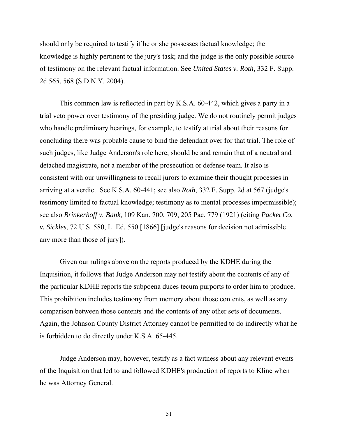should only be required to testify if he or she possesses factual knowledge; the knowledge is highly pertinent to the jury's task; and the judge is the only possible source of testimony on the relevant factual information. See *United States v. Roth*, 332 F. Supp. 2d 565, 568 (S.D.N.Y. 2004).

 This common law is reflected in part by K.S.A. 60-442, which gives a party in a trial veto power over testimony of the presiding judge. We do not routinely permit judges who handle preliminary hearings, for example, to testify at trial about their reasons for concluding there was probable cause to bind the defendant over for that trial. The role of such judges, like Judge Anderson's role here, should be and remain that of a neutral and detached magistrate, not a member of the prosecution or defense team. It also is consistent with our unwillingness to recall jurors to examine their thought processes in arriving at a verdict. See K.S.A. 60-441; see also *Roth*, 332 F. Supp. 2d at 567 (judge's testimony limited to factual knowledge; testimony as to mental processes impermissible); see also *Brinkerhoff v. Bank*, 109 Kan. 700, 709, 205 Pac. 779 (1921) (citing *Packet Co. v. Sickles*, 72 U.S. 580, L. Ed. 550 [1866] [judge's reasons for decision not admissible any more than those of jury]).

 Given our rulings above on the reports produced by the KDHE during the Inquisition, it follows that Judge Anderson may not testify about the contents of any of the particular KDHE reports the subpoena duces tecum purports to order him to produce. This prohibition includes testimony from memory about those contents, as well as any comparison between those contents and the contents of any other sets of documents. Again, the Johnson County District Attorney cannot be permitted to do indirectly what he is forbidden to do directly under K.S.A. 65-445.

 Judge Anderson may, however, testify as a fact witness about any relevant events of the Inquisition that led to and followed KDHE's production of reports to Kline when he was Attorney General.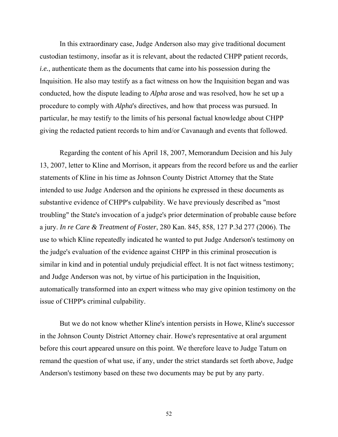In this extraordinary case, Judge Anderson also may give traditional document custodian testimony, insofar as it is relevant, about the redacted CHPP patient records, *i.e.*, authenticate them as the documents that came into his possession during the Inquisition. He also may testify as a fact witness on how the Inquisition began and was conducted, how the dispute leading to *Alpha* arose and was resolved, how he set up a procedure to comply with *Alpha*'s directives, and how that process was pursued. In particular, he may testify to the limits of his personal factual knowledge about CHPP giving the redacted patient records to him and/or Cavanaugh and events that followed.

 Regarding the content of his April 18, 2007, Memorandum Decision and his July 13, 2007, letter to Kline and Morrison, it appears from the record before us and the earlier statements of Kline in his time as Johnson County District Attorney that the State intended to use Judge Anderson and the opinions he expressed in these documents as substantive evidence of CHPP's culpability. We have previously described as "most troubling" the State's invocation of a judge's prior determination of probable cause before a jury. *In re Care & Treatment of Foster*, 280 Kan. 845, 858, 127 P.3d 277 (2006). The use to which Kline repeatedly indicated he wanted to put Judge Anderson's testimony on the judge's evaluation of the evidence against CHPP in this criminal prosecution is similar in kind and in potential unduly prejudicial effect. It is not fact witness testimony; and Judge Anderson was not, by virtue of his participation in the Inquisition, automatically transformed into an expert witness who may give opinion testimony on the issue of CHPP's criminal culpability.

 But we do not know whether Kline's intention persists in Howe, Kline's successor in the Johnson County District Attorney chair. Howe's representative at oral argument before this court appeared unsure on this point. We therefore leave to Judge Tatum on remand the question of what use, if any, under the strict standards set forth above, Judge Anderson's testimony based on these two documents may be put by any party.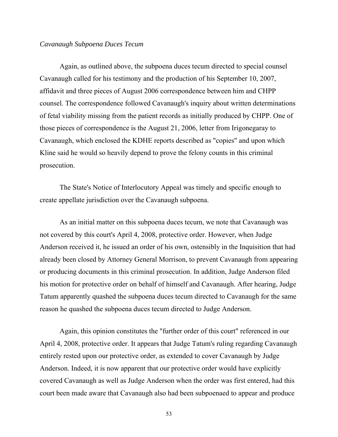### *Cavanaugh Subpoena Duces Tecum*

 Again, as outlined above, the subpoena duces tecum directed to special counsel Cavanaugh called for his testimony and the production of his September 10, 2007, affidavit and three pieces of August 2006 correspondence between him and CHPP counsel. The correspondence followed Cavanaugh's inquiry about written determinations of fetal viability missing from the patient records as initially produced by CHPP. One of those pieces of correspondence is the August 21, 2006, letter from Irigonegaray to Cavanaugh, which enclosed the KDHE reports described as "copies" and upon which Kline said he would so heavily depend to prove the felony counts in this criminal prosecution.

 The State's Notice of Interlocutory Appeal was timely and specific enough to create appellate jurisdiction over the Cavanaugh subpoena.

 As an initial matter on this subpoena duces tecum, we note that Cavanaugh was not covered by this court's April 4, 2008, protective order. However, when Judge Anderson received it, he issued an order of his own, ostensibly in the Inquisition that had already been closed by Attorney General Morrison, to prevent Cavanaugh from appearing or producing documents in this criminal prosecution. In addition, Judge Anderson filed his motion for protective order on behalf of himself and Cavanaugh. After hearing, Judge Tatum apparently quashed the subpoena duces tecum directed to Cavanaugh for the same reason he quashed the subpoena duces tecum directed to Judge Anderson.

 Again, this opinion constitutes the "further order of this court" referenced in our April 4, 2008, protective order. It appears that Judge Tatum's ruling regarding Cavanaugh entirely rested upon our protective order, as extended to cover Cavanaugh by Judge Anderson. Indeed, it is now apparent that our protective order would have explicitly covered Cavanaugh as well as Judge Anderson when the order was first entered, had this court been made aware that Cavanaugh also had been subpoenaed to appear and produce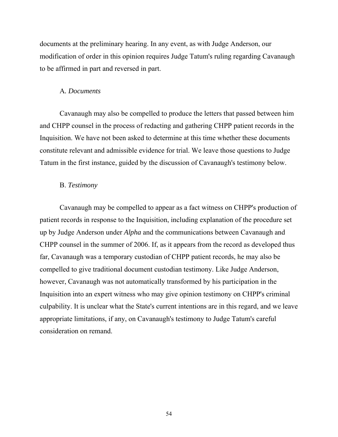documents at the preliminary hearing. In any event, as with Judge Anderson, our modification of order in this opinion requires Judge Tatum's ruling regarding Cavanaugh to be affirmed in part and reversed in part.

### A*. Documents*

 Cavanaugh may also be compelled to produce the letters that passed between him and CHPP counsel in the process of redacting and gathering CHPP patient records in the Inquisition. We have not been asked to determine at this time whether these documents constitute relevant and admissible evidence for trial. We leave those questions to Judge Tatum in the first instance, guided by the discussion of Cavanaugh's testimony below.

### B. *Testimony*

 Cavanaugh may be compelled to appear as a fact witness on CHPP's production of patient records in response to the Inquisition, including explanation of the procedure set up by Judge Anderson under *Alpha* and the communications between Cavanaugh and CHPP counsel in the summer of 2006. If, as it appears from the record as developed thus far, Cavanaugh was a temporary custodian of CHPP patient records, he may also be compelled to give traditional document custodian testimony. Like Judge Anderson, however, Cavanaugh was not automatically transformed by his participation in the Inquisition into an expert witness who may give opinion testimony on CHPP's criminal culpability. It is unclear what the State's current intentions are in this regard, and we leave appropriate limitations, if any, on Cavanaugh's testimony to Judge Tatum's careful consideration on remand.